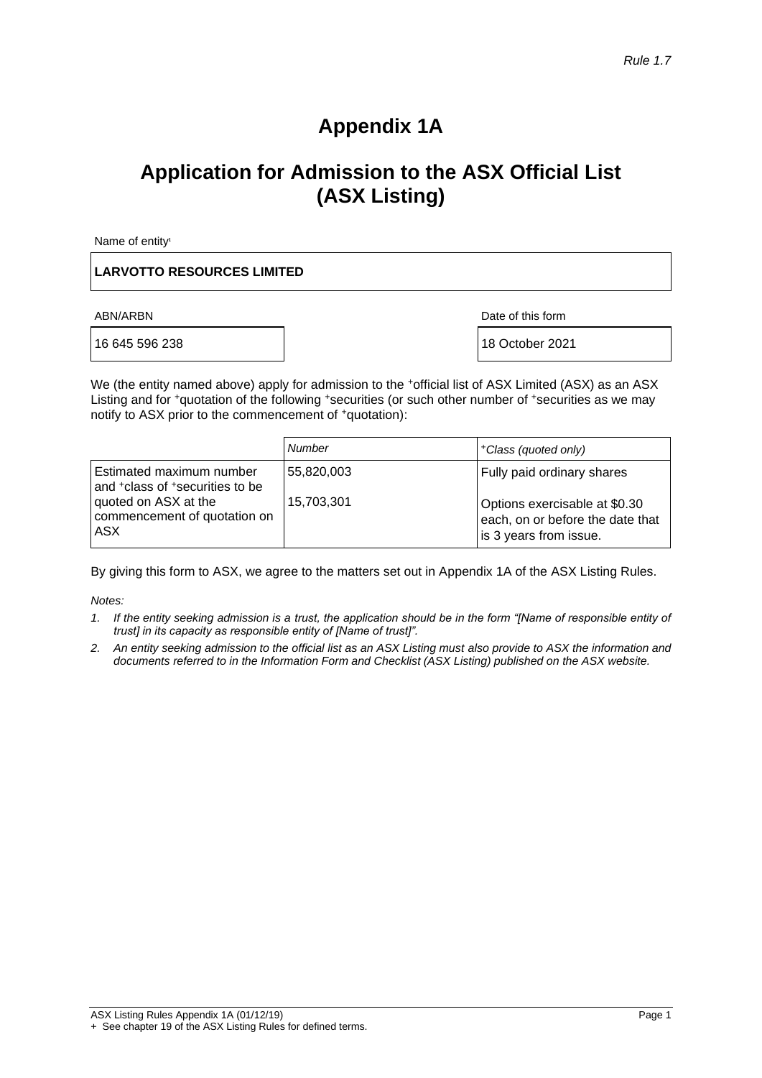# **Appendix 1A**

# **Application for Admission to the ASX Official List (ASX Listing)**

Name of entity<sup>1</sup>

#### **LARVOTTO RESOURCES LIMITED**

16 645 596 238 | 18 October 2021

ABN/ARBN Date of this form

We (the entity named above) apply for admission to the +official list of ASX Limited (ASX) as an ASX Listing and for +quotation of the following +securities (or such other number of +securities as we may notify to ASX prior to the commencement of <sup>+</sup>quotation):

|                                                                                                             | <b>Number</b>            | +Class (quoted only)                                        |
|-------------------------------------------------------------------------------------------------------------|--------------------------|-------------------------------------------------------------|
| Estimated maximum number<br>and <sup>+</sup> class of <sup>+</sup> securities to be<br>quoted on ASX at the | 55,820,003<br>15,703,301 | Fully paid ordinary shares<br>Options exercisable at \$0.30 |
| commencement of quotation on<br>ASX                                                                         |                          | each, on or before the date that<br>is 3 years from issue.  |

By giving this form to ASX, we agree to the matters set out in Appendix 1A of the ASX Listing Rules.

*Notes:*

- *1. If the entity seeking admission is a trust, the application should be in the form "[Name of responsible entity of trust] in its capacity as responsible entity of [Name of trust]".*
- *2. An entity seeking admission to the official list as an ASX Listing must also provide to ASX the information and documents referred to in the Information Form and Checklist (ASX Listing) published on the ASX website.*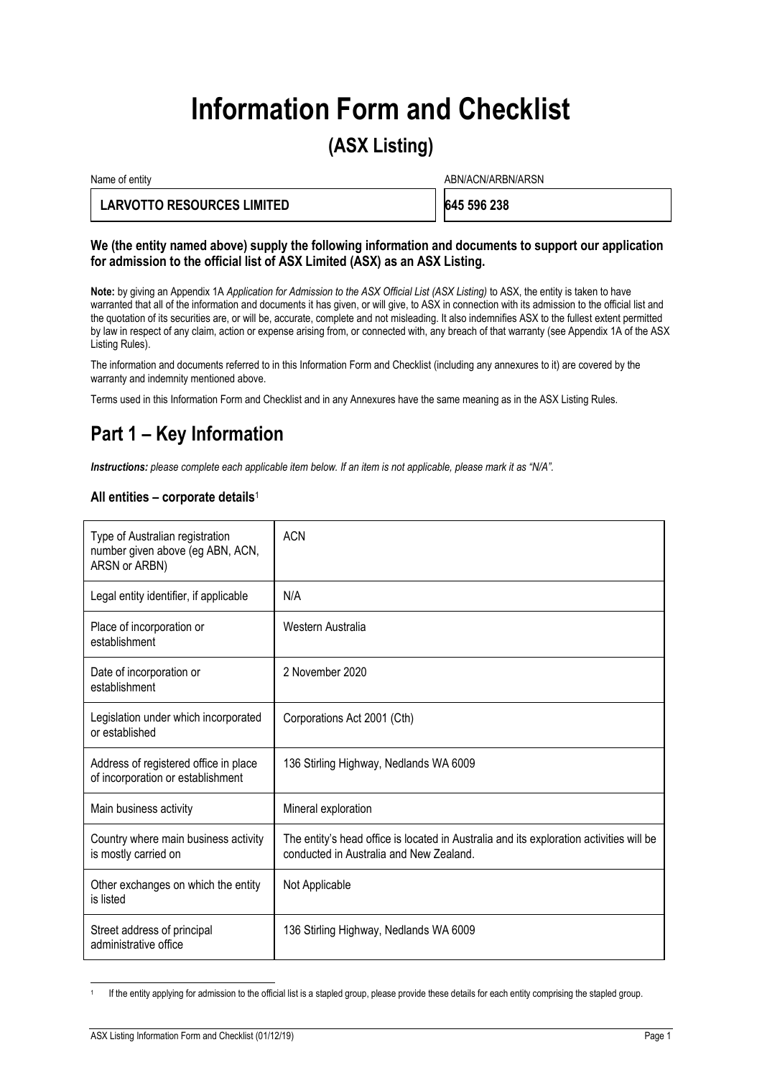# **Information Form and Checklist**

# **(ASX Listing)**

Name of entity and the state of entity and the state of entity and the state of entity and the state of entity  $ABN/ACN/ARBN/ARSN$ 

### **LARVOTTO RESOURCES LIMITED 645 596 238**

#### **We (the entity named above) supply the following information and documents to support our application for admission to the official list of ASX Limited (ASX) as an ASX Listing.**

**Note:** by giving an Appendix 1A *Application for Admission to the ASX Official List (ASX Listing)* to ASX, the entity is taken to have warranted that all of the information and documents it has given, or will give, to ASX in connection with its admission to the official list and the quotation of its securities are, or will be, accurate, complete and not misleading. It also indemnifies ASX to the fullest extent permitted by law in respect of any claim, action or expense arising from, or connected with, any breach of that warranty (see Appendix 1A of the ASX Listing Rules).

The information and documents referred to in this Information Form and Checklist (including any annexures to it) are covered by the warranty and indemnity mentioned above.

Terms used in this Information Form and Checklist and in any Annexures have the same meaning as in the ASX Listing Rules.

# **Part 1 – Key Information**

*Instructions: please complete each applicable item below. If an item is not applicable, please mark it as "N/A".*

#### **All entities – corporate details**<sup>1</sup>

| Type of Australian registration<br>number given above (eg ABN, ACN,<br>ARSN or ARBN) | <b>ACN</b>                                                                                                                         |
|--------------------------------------------------------------------------------------|------------------------------------------------------------------------------------------------------------------------------------|
| Legal entity identifier, if applicable                                               | N/A                                                                                                                                |
| Place of incorporation or<br>establishment                                           | Western Australia                                                                                                                  |
| Date of incorporation or<br>establishment                                            | 2 November 2020                                                                                                                    |
| Legislation under which incorporated<br>or established                               | Corporations Act 2001 (Cth)                                                                                                        |
| Address of registered office in place<br>of incorporation or establishment           | 136 Stirling Highway, Nedlands WA 6009                                                                                             |
| Main business activity                                                               | Mineral exploration                                                                                                                |
| Country where main business activity<br>is mostly carried on                         | The entity's head office is located in Australia and its exploration activities will be<br>conducted in Australia and New Zealand. |
| Other exchanges on which the entity<br>is listed                                     | Not Applicable                                                                                                                     |
| Street address of principal<br>administrative office                                 | 136 Stirling Highway, Nedlands WA 6009                                                                                             |

<sup>1</sup> If the entity applying for admission to the official list is a stapled group, please provide these details for each entity comprising the stapled group.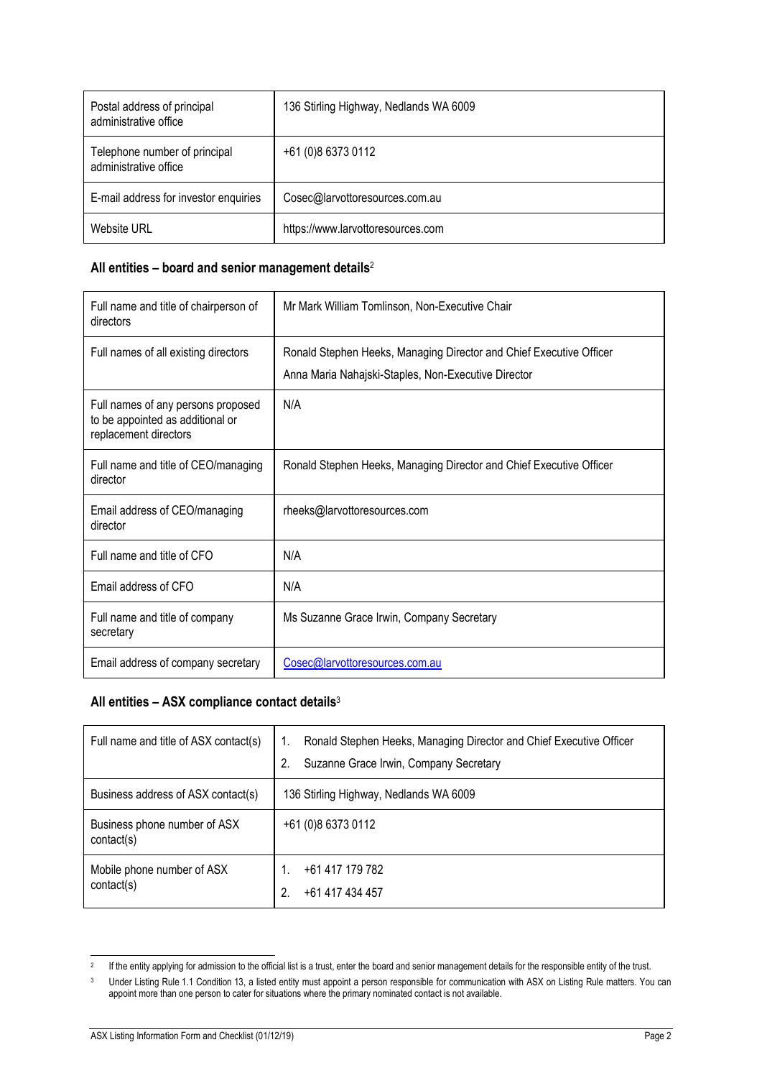| Postal address of principal<br>administrative office   | 136 Stirling Highway, Nedlands WA 6009 |
|--------------------------------------------------------|----------------------------------------|
| Telephone number of principal<br>administrative office | +61 (0)8 6373 0112                     |
| E-mail address for investor enquiries                  | Cosec@larvottoresources.com.au         |
| <b>Website URL</b>                                     | https://www.larvottoresources.com      |

### **All entities – board and senior management details**<sup>2</sup>

| Full name and title of chairperson of<br>directors                                              | Mr Mark William Tomlinson, Non-Executive Chair                                                                             |
|-------------------------------------------------------------------------------------------------|----------------------------------------------------------------------------------------------------------------------------|
| Full names of all existing directors                                                            | Ronald Stephen Heeks, Managing Director and Chief Executive Officer<br>Anna Maria Nahajski-Staples, Non-Executive Director |
| Full names of any persons proposed<br>to be appointed as additional or<br>replacement directors | N/A                                                                                                                        |
| Full name and title of CEO/managing<br>director                                                 | Ronald Stephen Heeks, Managing Director and Chief Executive Officer                                                        |
| Email address of CEO/managing<br>director                                                       | rheeks@larvottoresources.com                                                                                               |
| Full name and title of CFO                                                                      | N/A                                                                                                                        |
| Email address of CFO                                                                            | N/A                                                                                                                        |
| Full name and title of company<br>secretary                                                     | Ms Suzanne Grace Irwin, Company Secretary                                                                                  |
| Email address of company secretary                                                              | Cosec@larvottoresources.com.au                                                                                             |

## **All entities – ASX compliance contact details**<sup>3</sup>

| Full name and title of ASX contact(s)      | Ronald Stephen Heeks, Managing Director and Chief Executive Officer<br>Suzanne Grace Irwin, Company Secretary<br>2. |
|--------------------------------------------|---------------------------------------------------------------------------------------------------------------------|
| Business address of ASX contact(s)         | 136 Stirling Highway, Nedlands WA 6009                                                                              |
| Business phone number of ASX<br>contact(s) | +61 (0)8 6373 0112                                                                                                  |
| Mobile phone number of ASX<br>contact(s)   | +61 417 179 782<br>+61 417 434 457<br>2.                                                                            |

<sup>2</sup> If the entity applying for admission to the official list is a trust, enter the board and senior management details for the responsible entity of the trust.

<sup>&</sup>lt;sup>3</sup> Under Listing Rule 1.1 Condition 13, a listed entity must appoint a person responsible for communication with ASX on Listing Rule matters. You can appoint more than one person to cater for situations where the primary nominated contact is not available.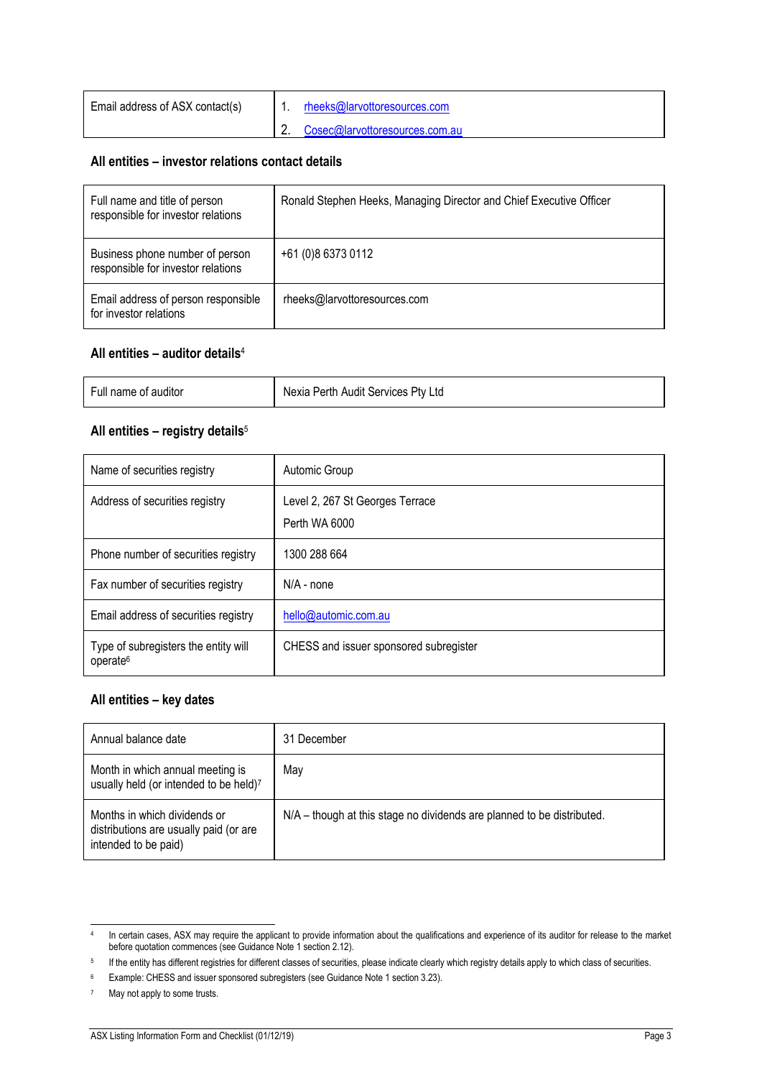| Email address of ASX contact(s) | rheeks@larvottoresources.com   |
|---------------------------------|--------------------------------|
|                                 | Cosec@larvottoresources.com.au |

#### **All entities – investor relations contact details**

| Full name and title of person<br>responsible for investor relations   | Ronald Stephen Heeks, Managing Director and Chief Executive Officer |
|-----------------------------------------------------------------------|---------------------------------------------------------------------|
| Business phone number of person<br>responsible for investor relations | +61 (0)8 6373 0112                                                  |
| Email address of person responsible<br>for investor relations         | rheeks@larvottoresources.com                                        |

#### **All entities – auditor details**<sup>4</sup>

## **All entities – registry details**<sup>5</sup>

| Name of securities registry                                  | Automic Group                                    |
|--------------------------------------------------------------|--------------------------------------------------|
| Address of securities registry                               | Level 2, 267 St Georges Terrace<br>Perth WA 6000 |
| Phone number of securities registry                          | 1300 288 664                                     |
| Fax number of securities registry                            | $N/A$ - none                                     |
| Email address of securities registry                         | hello@automic.com.au                             |
| Type of subregisters the entity will<br>operate <sup>6</sup> | CHESS and issuer sponsored subregister           |

## **All entities – key dates**

| Annual balance date                                                                            | 31 December                                                            |
|------------------------------------------------------------------------------------------------|------------------------------------------------------------------------|
| Month in which annual meeting is<br>usually held (or intended to be held)7                     | May                                                                    |
| Months in which dividends or<br>distributions are usually paid (or are<br>intended to be paid) | N/A – though at this stage no dividends are planned to be distributed. |

<sup>4</sup> In certain cases, ASX may require the applicant to provide information about the qualifications and experience of its auditor for release to the market before quotation commences (see Guidance Note 1 section 2.12).

<sup>5</sup> If the entity has different registries for different classes of securities, please indicate clearly which registry details apply to which class of securities.

<sup>6</sup> Example: CHESS and issuer sponsored subregisters (see Guidance Note 1 section 3.23).

<sup>7</sup> May not apply to some trusts.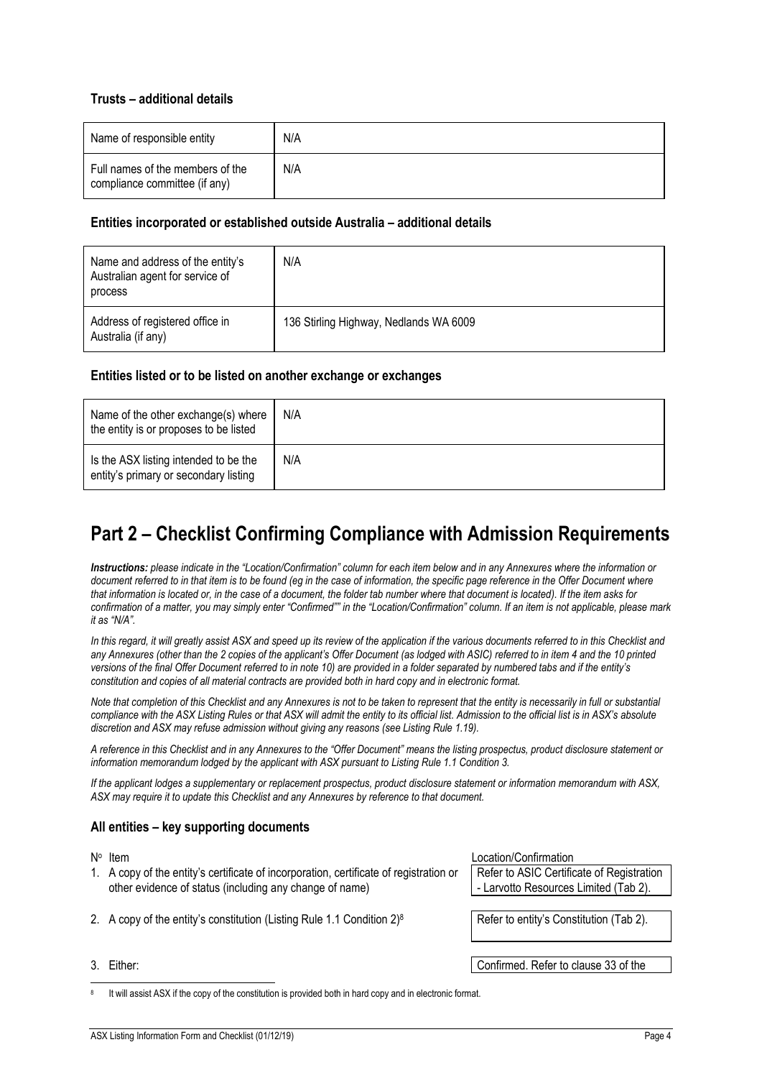#### **Trusts – additional details**

| Name of responsible entity                                        | N/A |
|-------------------------------------------------------------------|-----|
| Full names of the members of the<br>compliance committee (if any) | N/A |

#### **Entities incorporated or established outside Australia – additional details**

| Name and address of the entity's<br>Australian agent for service of<br>process | N/A                                    |
|--------------------------------------------------------------------------------|----------------------------------------|
| Address of registered office in<br>Australia (if any)                          | 136 Stirling Highway, Nedlands WA 6009 |

#### **Entities listed or to be listed on another exchange or exchanges**

| Name of the other exchange(s) where<br>the entity is or proposes to be listed  | N/A |
|--------------------------------------------------------------------------------|-----|
| Is the ASX listing intended to be the<br>entity's primary or secondary listing | N/A |

# **Part 2 – Checklist Confirming Compliance with Admission Requirements**

*Instructions: please indicate in the "Location/Confirmation" column for each item below and in any Annexures where the information or document referred to in that item is to be found (eg in the case of information, the specific page reference in the Offer Document where that information is located or, in the case of a document, the folder tab number where that document is located). If the item asks for confirmation of a matter, you may simply enter "Confirmed"" in the "Location/Confirmation" column. If an item is not applicable, please mark it as "N/A".*

In this regard, it will greatly assist ASX and speed up its review of the application if the various documents referred to in this Checklist and *any Annexures (other than the 2 copies of the applicant's Offer Document (as lodged with ASIC) referred to in item [4](#page-5-0) and the 10 printed versions of the final Offer Document referred to in note [10\)](#page-5-1) are provided in a folder separated by numbered tabs and if the entity's constitution and copies of all material contracts are provided both in hard copy and in electronic format.*

*Note that completion of this Checklist and any Annexures is not to be taken to represent that the entity is necessarily in full or substantial compliance with the ASX Listing Rules or that ASX will admit the entity to its official list. Admission to the official list is in ASX's absolute discretion and ASX may refuse admission without giving any reasons (see Listing Rule 1.19).*

*A reference in this Checklist and in any Annexures to the "Offer Document" means the listing prospectus, product disclosure statement or information memorandum lodged by the applicant with ASX pursuant to Listing Rule 1.1 Condition 3.*

*If the applicant lodges a supplementary or replacement prospectus, product disclosure statement or information memorandum with ASX, ASX may require it to update this Checklist and any Annexures by reference to that document.*

#### **All entities – key supporting documents**

- 1. A copy of the entity's certificate of incorporation, certificate of registration or other evidence of status (including any change of name)
- 2. A copy of the entity's constitution (Listing Rule 1.1 Condition  $2)^8$
- 

Location/Confirmation

Refer to ASIC Certificate of Registration - Larvotto Resources Limited (Tab 2).

Refer to entity's Constitution (Tab 2).

3. Either: Confirmed. Refer to clause 33 of the

8 It will assist ASX if the copy of the constitution is provided both in hard copy and in electronic format.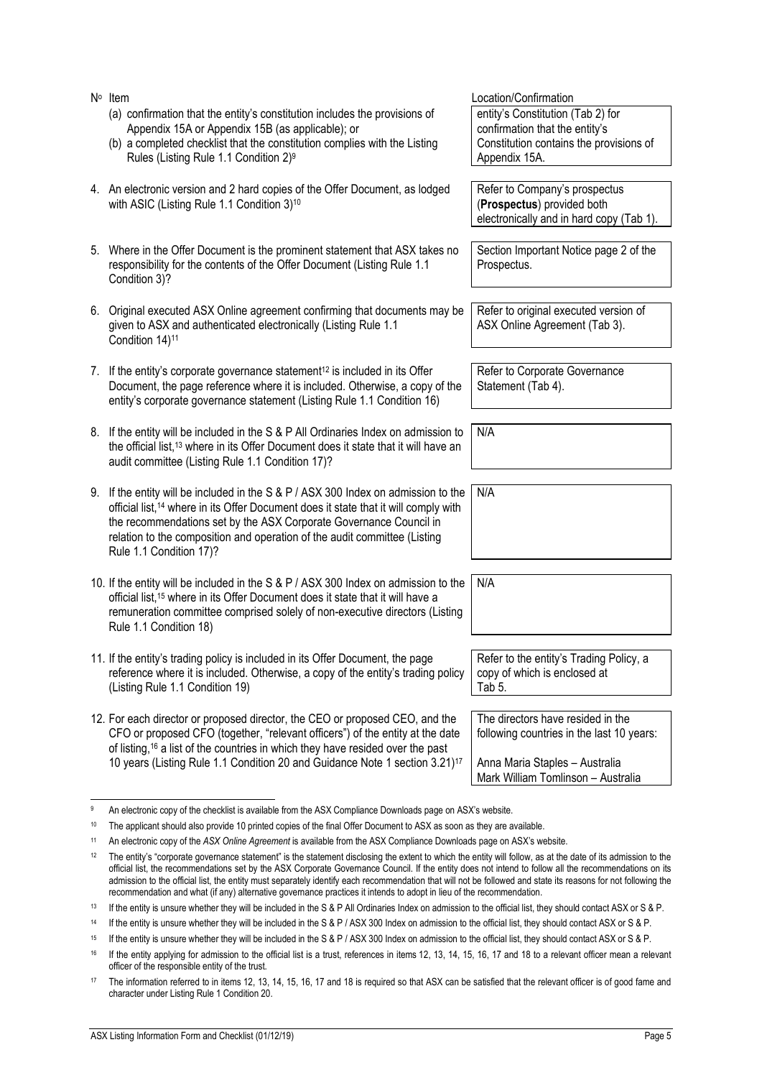<span id="page-5-2"></span>

|    | 9. If the entity will be included in the S & P / ASX 300 Index on admission to the<br>official list, <sup>14</sup> where in its Offer Document does it state that it will comply with<br>the recommendations set by the ASX Corporate Governance Council in<br>relation to the composition and operation of the audit committee (Listing<br>Rule 1.1 Condition 17)?                                                                                                                                                                                                                                             | N/A                                                                                                                                                    |
|----|-----------------------------------------------------------------------------------------------------------------------------------------------------------------------------------------------------------------------------------------------------------------------------------------------------------------------------------------------------------------------------------------------------------------------------------------------------------------------------------------------------------------------------------------------------------------------------------------------------------------|--------------------------------------------------------------------------------------------------------------------------------------------------------|
|    | 10. If the entity will be included in the S & P / ASX 300 Index on admission to the<br>official list, <sup>15</sup> where in its Offer Document does it state that it will have a<br>remuneration committee comprised solely of non-executive directors (Listing<br>Rule 1.1 Condition 18)                                                                                                                                                                                                                                                                                                                      | N/A                                                                                                                                                    |
|    | 11. If the entity's trading policy is included in its Offer Document, the page<br>reference where it is included. Otherwise, a copy of the entity's trading policy<br>(Listing Rule 1.1 Condition 19)                                                                                                                                                                                                                                                                                                                                                                                                           | Refer to the entity's Trading Policy, a<br>copy of which is enclosed at<br>Tab 5.                                                                      |
|    | 12. For each director or proposed director, the CEO or proposed CEO, and the<br>CFO or proposed CFO (together, "relevant officers") of the entity at the date<br>of listing, <sup>16</sup> a list of the countries in which they have resided over the past<br>10 years (Listing Rule 1.1 Condition 20 and Guidance Note 1 section 3.21) <sup>17</sup>                                                                                                                                                                                                                                                          | The directors have resided in the<br>following countries in the last 10 years:<br>Anna Maria Staples - Australia<br>Mark William Tomlinson - Australia |
| 9  | An electronic copy of the checklist is available from the ASX Compliance Downloads page on ASX's website.                                                                                                                                                                                                                                                                                                                                                                                                                                                                                                       |                                                                                                                                                        |
| 10 | The applicant should also provide 10 printed copies of the final Offer Document to ASX as soon as they are available.                                                                                                                                                                                                                                                                                                                                                                                                                                                                                           |                                                                                                                                                        |
| 11 | An electronic copy of the ASX Online Agreement is available from the ASX Compliance Downloads page on ASX's website.                                                                                                                                                                                                                                                                                                                                                                                                                                                                                            |                                                                                                                                                        |
| 12 | The entity's "corporate governance statement" is the statement disclosing the extent to which the entity will follow, as at the date of its admission to the<br>official list, the recommendations set by the ASX Corporate Governance Council. If the entity does not intend to follow all the recommendations on its<br>admission to the official list, the entity must separately identify each recommendation that will not be followed and state its reasons for not following the<br>recommendation and what (if any) alternative governance practices it intends to adopt in lieu of the recommendation. |                                                                                                                                                        |
| 13 | If the entity is unsure whether they will be included in the S & P All Ordinaries Index on admission to the official list, they should contact ASX or S & P.                                                                                                                                                                                                                                                                                                                                                                                                                                                    |                                                                                                                                                        |
| 14 | If the entity is unsure whether they will be included in the S & P / ASX 300 Index on admission to the official list, they should contact ASX or S & P.                                                                                                                                                                                                                                                                                                                                                                                                                                                         |                                                                                                                                                        |
| 15 | If the entity is unsure whether they will be included in the S & P / ASX 300 Index on admission to the official list, they should contact ASX or S & P.                                                                                                                                                                                                                                                                                                                                                                                                                                                         |                                                                                                                                                        |
| 16 | If the entity applying for admission to the official list is a trust, references in items 12, 13, 14, 15, 16, 17 and 18 to a relevant officer mean a relevant<br>officer of the responsible entity of the trust.                                                                                                                                                                                                                                                                                                                                                                                                |                                                                                                                                                        |
| 17 | The information referred to in items 12, 13, 14, 15, 16, 17 and 18 is required so that ASX can be satisfied that the relevant officer is of good fame and<br>character under Listing Rule 1 Condition 20.                                                                                                                                                                                                                                                                                                                                                                                                       |                                                                                                                                                        |

Condition 14)<sup>11</sup> 7. If the entity's corporate governance statement <sup>12</sup> is included in its Offer Document, the page reference where it is included. Otherwise, a copy of the entity's corporate governance statement (Listing Rule 1.1 Condition 16)

(a) confirmation that the entity's constitution includes the provisions of

(b) a completed checklist that the constitution complies with the Listing

<span id="page-5-0"></span>4. An electronic version and 2 hard copies of the Offer Document, as lodged

5. Where in the Offer Document is the prominent statement that ASX takes no responsibility for the contents of the Offer Document (Listing Rule 1.1

6. Original executed ASX Online agreement confirming that documents may be

given to ASX and authenticated electronically (Listing Rule 1.1

Appendix 15A or Appendix 15B (as applicable); or

<span id="page-5-1"></span>Rules (Listing Rule 1.1 Condition 2)<sup>9</sup>

with ASIC (Listing Rule 1.1 Condition 3) 10

N<sup>o</sup> Item

Condition 3)?

8. If the entity will be included in the S & P All Ordinaries Index on admission to the official list,<sup>13</sup> where in its Offer Document does it state that it will have an audit committee (Listing Rule 1.1 Condition 17)?

Refer to Company's prospectus (**Prospectus**) provided both electronically and in hard copy (Tab 1).

Section Important Notice page 2 of the Prospectus.

Refer to original executed version of ASX Online Agreement (Tab 3).

Refer to Corporate Governance Statement (Tab 4).

N/A

Location/Confirmation entity's Constitution (Tab 2) for confirmation that the entity's Constitution contains the provisions of Appendix 15A.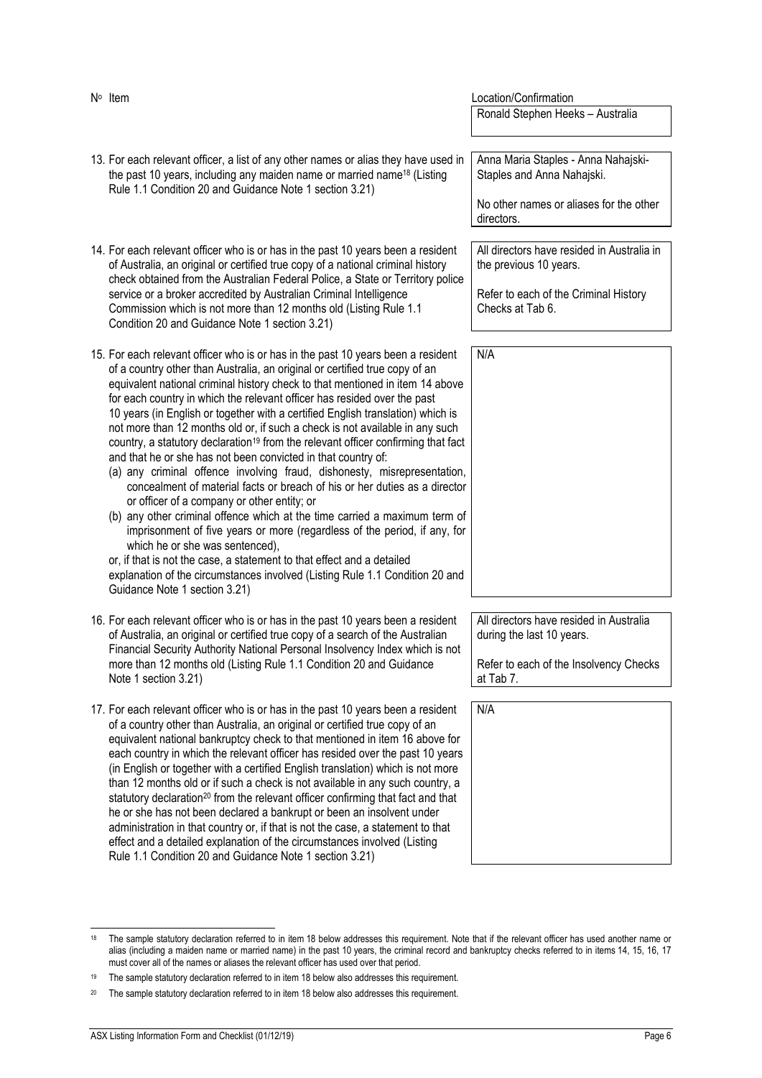<span id="page-6-2"></span><span id="page-6-1"></span><span id="page-6-0"></span>

| N° Item                                                                                                                                                                                                                                                                                                                                                                                                                                                                                                                                                                                                                                                                                                                                                                                                                                                                                                                                                                                                                                                                                                                                                                                                                                                             | Location/Confirmation                                                                                                             |
|---------------------------------------------------------------------------------------------------------------------------------------------------------------------------------------------------------------------------------------------------------------------------------------------------------------------------------------------------------------------------------------------------------------------------------------------------------------------------------------------------------------------------------------------------------------------------------------------------------------------------------------------------------------------------------------------------------------------------------------------------------------------------------------------------------------------------------------------------------------------------------------------------------------------------------------------------------------------------------------------------------------------------------------------------------------------------------------------------------------------------------------------------------------------------------------------------------------------------------------------------------------------|-----------------------------------------------------------------------------------------------------------------------------------|
|                                                                                                                                                                                                                                                                                                                                                                                                                                                                                                                                                                                                                                                                                                                                                                                                                                                                                                                                                                                                                                                                                                                                                                                                                                                                     | Ronald Stephen Heeks - Australia                                                                                                  |
| 13. For each relevant officer, a list of any other names or alias they have used in<br>the past 10 years, including any maiden name or married name <sup>18</sup> (Listing<br>Rule 1.1 Condition 20 and Guidance Note 1 section 3.21)                                                                                                                                                                                                                                                                                                                                                                                                                                                                                                                                                                                                                                                                                                                                                                                                                                                                                                                                                                                                                               | Anna Maria Staples - Anna Nahajski-<br>Staples and Anna Nahajski.<br>No other names or aliases for the other<br>directors.        |
| 14. For each relevant officer who is or has in the past 10 years been a resident<br>of Australia, an original or certified true copy of a national criminal history<br>check obtained from the Australian Federal Police, a State or Territory police<br>service or a broker accredited by Australian Criminal Intelligence<br>Commission which is not more than 12 months old (Listing Rule 1.1)<br>Condition 20 and Guidance Note 1 section 3.21)                                                                                                                                                                                                                                                                                                                                                                                                                                                                                                                                                                                                                                                                                                                                                                                                                 | All directors have resided in Australia in<br>the previous 10 years.<br>Refer to each of the Criminal History<br>Checks at Tab 6. |
| 15. For each relevant officer who is or has in the past 10 years been a resident<br>of a country other than Australia, an original or certified true copy of an<br>equivalent national criminal history check to that mentioned in item 14 above<br>for each country in which the relevant officer has resided over the past<br>10 years (in English or together with a certified English translation) which is<br>not more than 12 months old or, if such a check is not available in any such<br>country, a statutory declaration <sup>19</sup> from the relevant officer confirming that fact<br>and that he or she has not been convicted in that country of:<br>(a) any criminal offence involving fraud, dishonesty, misrepresentation,<br>concealment of material facts or breach of his or her duties as a director<br>or officer of a company or other entity; or<br>(b) any other criminal offence which at the time carried a maximum term of<br>imprisonment of five years or more (regardless of the period, if any, for<br>which he or she was sentenced),<br>or, if that is not the case, a statement to that effect and a detailed<br>explanation of the circumstances involved (Listing Rule 1.1 Condition 20 and<br>Guidance Note 1 section 3.21) | N/A                                                                                                                               |
| 16. For each relevant officer who is or has in the past 10 years been a resident<br>of Australia, an original or certified true copy of a search of the Australian<br>Financial Security Authority National Personal Insolvency Index which is not<br>more than 12 months old (Listing Rule 1.1 Condition 20 and Guidance<br>Note 1 section 3.21)                                                                                                                                                                                                                                                                                                                                                                                                                                                                                                                                                                                                                                                                                                                                                                                                                                                                                                                   | All directors have resided in Australia<br>during the last 10 years.<br>Refer to each of the Insolvency Checks<br>at Tab 7.       |
| 17. For each relevant officer who is or has in the past 10 years been a resident<br>of a country other than Australia, an original or certified true copy of an<br>equivalent national bankruptcy check to that mentioned in item 16 above for<br>each country in which the relevant officer has resided over the past 10 years<br>(in English or together with a certified English translation) which is not more<br>than 12 months old or if such a check is not available in any such country, a<br>statutory declaration <sup>20</sup> from the relevant officer confirming that fact and that<br>he or she has not been declared a bankrupt or been an insolvent under<br>administration in that country or, if that is not the case, a statement to that<br>effect and a detailed explanation of the circumstances involved (Listing<br>Rule 1.1 Condition 20 and Guidance Note 1 section 3.21)                                                                                                                                                                                                                                                                                                                                                               | N/A                                                                                                                               |

<span id="page-6-4"></span><span id="page-6-3"></span><sup>&</sup>lt;sup>[18](#page-7-0)</sup> The sample statutory declaration referred to in item 18 below addresses this requirement. Note that if the relevant officer has used another name or alias (including a maiden name or married name) in the past 10 years, the criminal record and bankruptcy checks referred to in items [14,](#page-6-1) [15,](#page-6-2) [16,](#page-6-3) [17](#page-6-4) must cover all of the names or aliases the relevant officer has used over that period.

<sup>19</sup> The sample statutory declaration referred to in item [18](#page-7-0) below also addresses this requirement.

<sup>&</sup>lt;sup>20</sup> The sample statutory declaration referred to in item [18](#page-7-0) below also addresses this requirement.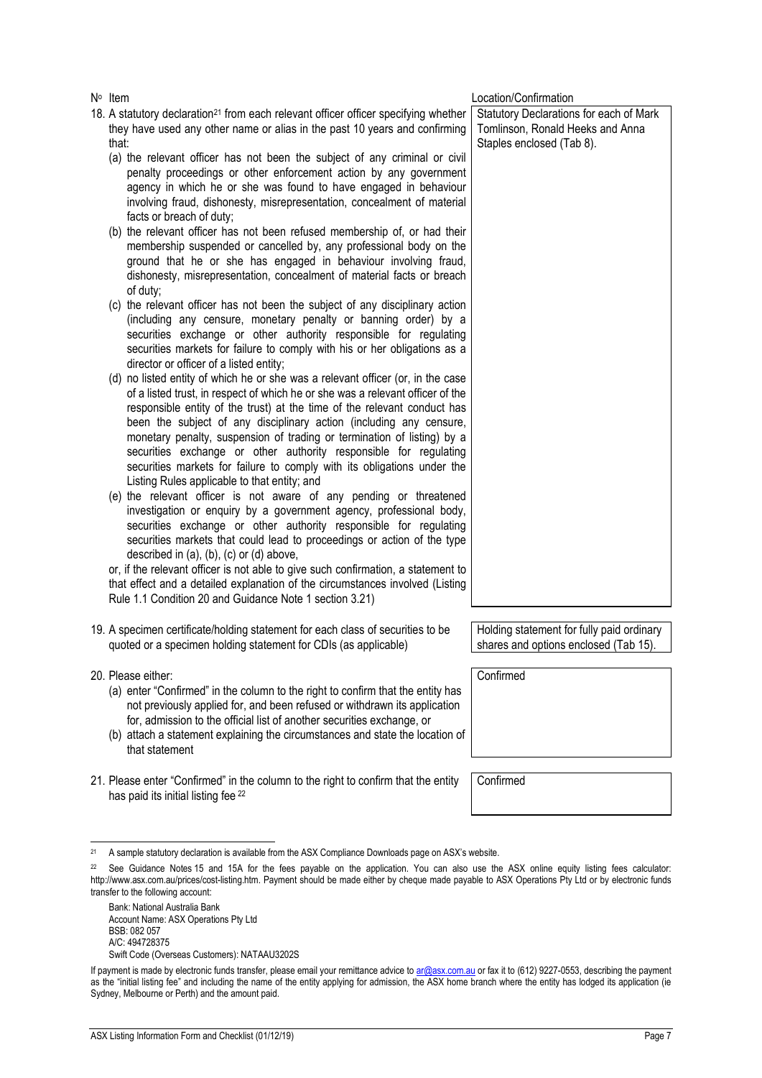penalty proceedings or other enforcement action by any government agency in which he or she was found to have engaged in behaviour involving fraud, dishonesty, misrepresentation, concealment of material facts or breach of duty; membership suspended or cancelled by, any professional body on the ground that he or she has engaged in behaviour involving fraud, dishonesty, misrepresentation, concealment of material facts or breach of duty; (including any censure, monetary penalty or banning order) by a securities exchange or other authority responsible for regulating securities markets for failure to comply with his or her obligations as a director or officer of a listed entity; of a listed trust, in respect of which he or she was a relevant officer of the responsible entity of the trust) at the time of the relevant conduct has been the subject of any disciplinary action (including any censure, monetary penalty, suspension of trading or termination of listing) by a securities exchange or other authority responsible for regulating securities markets for failure to comply with its obligations under the Listing Rules applicable to that entity; and investigation or enquiry by a government agency, professional body, securities exchange or other authority responsible for regulating securities markets that could lead to proceedings or action of the type described in (a), (b), (c) or (d) above, Statutory Declarations for each of Mark Tomlinson, Ronald Heeks and Anna Staples enclosed (Tab 8).

19. A specimen certificate/holding statement for each class of securities to be quoted or a specimen holding statement for CDIs (as applicable)

# 20. Please either:

- (a) enter "Confirmed" in the column to the right to confirm that the entity has not previously applied for, and been refused or withdrawn its application for, admission to the official list of another securities exchange, or
- (b) attach a statement explaining the circumstances and state the location of that statement
- 21. Please enter "Confirmed" in the column to the right to confirm that the entity has paid its initial listing fee <sup>22</sup>

Holding statement for fully paid ordinary shares and options enclosed (Tab 15).

Confirmed

<sup>21</sup> A sample statutory declaration is available from the ASX Compliance Downloads page on ASX's website.

Bank: National Australia Bank Account Name: ASX Operations Pty Ltd BSB: 082 057 A/C: 494728375 Swift Code (Overseas Customers): NATAAU3202S Location/Confirmation

N<sup>o</sup> Item

- <span id="page-7-0"></span>18. A statutory declaration<sup>21</sup> from each relevant officer officer specifying whether they have used any other name or alias in the past 10 years and confirming that:
	- (a) the relevant officer has not been the subject of any criminal or civil
	- (b) the relevant officer has not been refused membership of, or had their
	- (c) the relevant officer has not been the subject of any disciplinary action
	- (d) no listed entity of which he or she was a relevant officer (or, in the case
	- (e) the relevant officer is not aware of any pending or threatened

or, if the relevant officer is not able to give such confirmation, a statement to that effect and a detailed explanation of the circumstances involved (Listing Rule 1.1 Condition 20 and Guidance Note 1 section 3.21)

Confirmed

<sup>&</sup>lt;sup>22</sup> See Guidance Notes 15 and 15A for the fees payable on the application. You can also use the ASX online equity listing fees calculator: http://www.asx.com.au/prices/cost-listing.htm. Payment should be made either by cheque made payable to ASX Operations Pty Ltd or by electronic funds transfer to the following account:

If payment is made by electronic funds transfer, please email your remittance advice t[o ar@asx.com.au](mailto:ar@asx.com.au) or fax it to (612) 9227-0553, describing the payment as the "initial listing fee" and including the name of the entity applying for admission, the ASX home branch where the entity has lodged its application (ie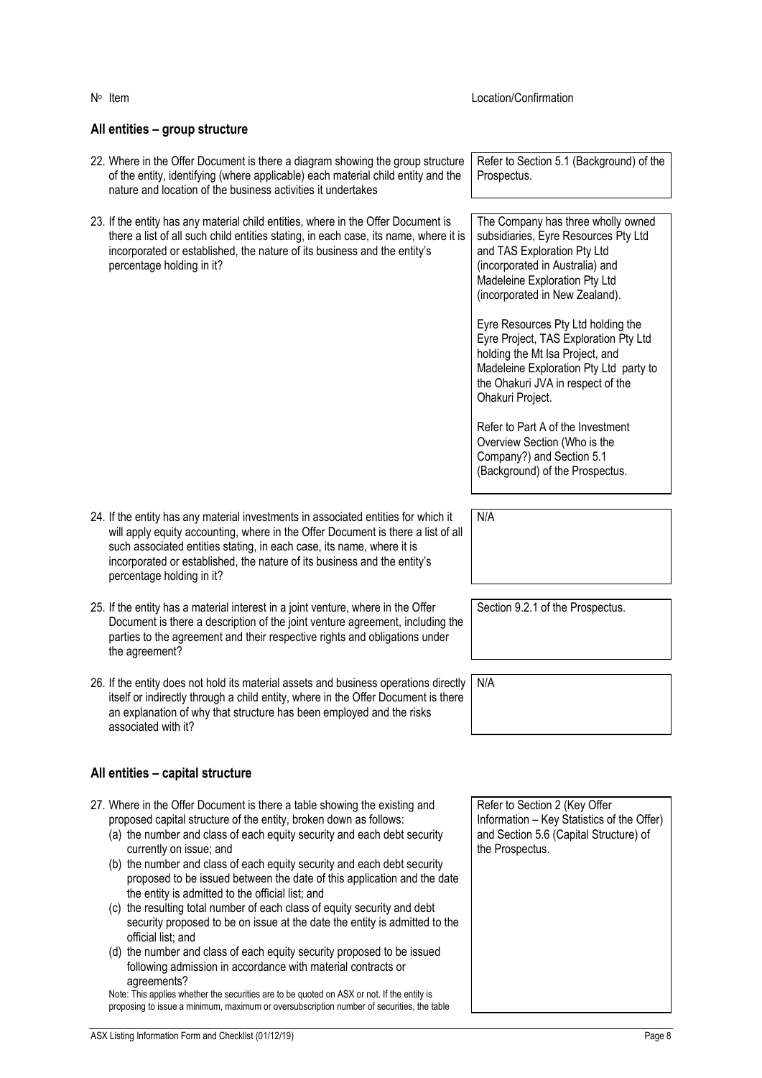<span id="page-8-0"></span>

| nature and location of the business activities it undertakes                                                                                                                                                                                                                                                                                                                                                                                                                                                                                                                                                                                                                                                                                                                                                                                                                                                                                                                                       |                                                                                                                                                                                                                                                                                                                                                                                                                                      |
|----------------------------------------------------------------------------------------------------------------------------------------------------------------------------------------------------------------------------------------------------------------------------------------------------------------------------------------------------------------------------------------------------------------------------------------------------------------------------------------------------------------------------------------------------------------------------------------------------------------------------------------------------------------------------------------------------------------------------------------------------------------------------------------------------------------------------------------------------------------------------------------------------------------------------------------------------------------------------------------------------|--------------------------------------------------------------------------------------------------------------------------------------------------------------------------------------------------------------------------------------------------------------------------------------------------------------------------------------------------------------------------------------------------------------------------------------|
| 23. If the entity has any material child entities, where in the Offer Document is<br>there a list of all such child entities stating, in each case, its name, where it is<br>incorporated or established, the nature of its business and the entity's<br>percentage holding in it?                                                                                                                                                                                                                                                                                                                                                                                                                                                                                                                                                                                                                                                                                                                 | The Company has three wholly owned<br>subsidiaries, Eyre Resources Pty Ltd<br>and TAS Exploration Pty Ltd<br>(incorporated in Australia) and<br>Madeleine Exploration Pty Ltd<br>(incorporated in New Zealand).<br>Eyre Resources Pty Ltd holding the<br>Eyre Project, TAS Exploration Pty Ltd<br>holding the Mt Isa Project, and<br>Madeleine Exploration Pty Ltd party to<br>the Ohakuri JVA in respect of the<br>Ohakuri Project. |
|                                                                                                                                                                                                                                                                                                                                                                                                                                                                                                                                                                                                                                                                                                                                                                                                                                                                                                                                                                                                    | Refer to Part A of the Investment<br>Overview Section (Who is the<br>Company?) and Section 5.1<br>(Background) of the Prospectus.                                                                                                                                                                                                                                                                                                    |
| 24. If the entity has any material investments in associated entities for which it<br>will apply equity accounting, where in the Offer Document is there a list of all<br>such associated entities stating, in each case, its name, where it is<br>incorporated or established, the nature of its business and the entity's<br>percentage holding in it?                                                                                                                                                                                                                                                                                                                                                                                                                                                                                                                                                                                                                                           | N/A                                                                                                                                                                                                                                                                                                                                                                                                                                  |
| 25. If the entity has a material interest in a joint venture, where in the Offer<br>Document is there a description of the joint venture agreement, including the<br>parties to the agreement and their respective rights and obligations under<br>the agreement?                                                                                                                                                                                                                                                                                                                                                                                                                                                                                                                                                                                                                                                                                                                                  | Section 9.2.1 of the Prospectus.                                                                                                                                                                                                                                                                                                                                                                                                     |
| 26. If the entity does not hold its material assets and business operations directly<br>itself or indirectly through a child entity, where in the Offer Document is there<br>an explanation of why that structure has been employed and the risks<br>associated with it?                                                                                                                                                                                                                                                                                                                                                                                                                                                                                                                                                                                                                                                                                                                           | N/A                                                                                                                                                                                                                                                                                                                                                                                                                                  |
| All entities - capital structure                                                                                                                                                                                                                                                                                                                                                                                                                                                                                                                                                                                                                                                                                                                                                                                                                                                                                                                                                                   |                                                                                                                                                                                                                                                                                                                                                                                                                                      |
| 27. Where in the Offer Document is there a table showing the existing and<br>proposed capital structure of the entity, broken down as follows:<br>(a) the number and class of each equity security and each debt security<br>currently on issue; and<br>(b) the number and class of each equity security and each debt security<br>proposed to be issued between the date of this application and the date<br>the entity is admitted to the official list; and<br>(c) the resulting total number of each class of equity security and debt<br>security proposed to be on issue at the date the entity is admitted to the<br>official list; and<br>(d) the number and class of each equity security proposed to be issued<br>following admission in accordance with material contracts or<br>agreements?<br>Note: This applies whether the securities are to be quoted on ASX or not. If the entity is<br>proposing to issue a minimum, maximum or oversubscription number of securities, the table | Refer to Section 2 (Key Offer<br>Information - Key Statistics of the Offer)<br>and Section 5.6 (Capital Structure) of<br>the Prospectus.                                                                                                                                                                                                                                                                                             |
| ASX Listing Information Form and Checklist (01/12/19)                                                                                                                                                                                                                                                                                                                                                                                                                                                                                                                                                                                                                                                                                                                                                                                                                                                                                                                                              | Page 8                                                                                                                                                                                                                                                                                                                                                                                                                               |

Location/Confirmation

Prospectus.

Refer to Section 5.1 (Background) of the

# **All entities – group structure**

22. Where in the Offer Document is there a diagram showing the group structure of the entity, identifying (where applicable) each material child entity and the

N° Item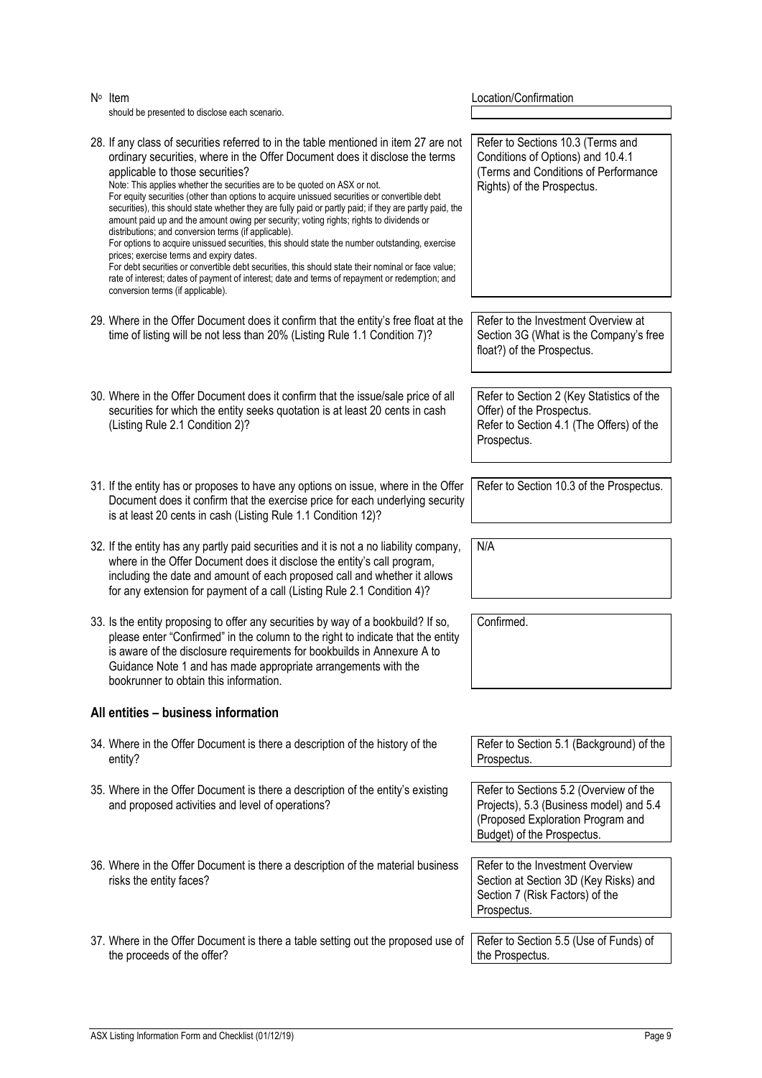| $N^{\circ}$ Item<br>should be presented to disclose each scenario.                                                                                                                                                                                                                                                                                                                                                                                                                                                                                                                                                                                                                                                                                                                                                                                                                                                                                                                                                                           | Location/Confirmation                                                                                                                                |
|----------------------------------------------------------------------------------------------------------------------------------------------------------------------------------------------------------------------------------------------------------------------------------------------------------------------------------------------------------------------------------------------------------------------------------------------------------------------------------------------------------------------------------------------------------------------------------------------------------------------------------------------------------------------------------------------------------------------------------------------------------------------------------------------------------------------------------------------------------------------------------------------------------------------------------------------------------------------------------------------------------------------------------------------|------------------------------------------------------------------------------------------------------------------------------------------------------|
| 28. If any class of securities referred to in the table mentioned in item 27 are not<br>ordinary securities, where in the Offer Document does it disclose the terms<br>applicable to those securities?<br>Note: This applies whether the securities are to be quoted on ASX or not.<br>For equity securities (other than options to acquire unissued securities or convertible debt<br>securities), this should state whether they are fully paid or partly paid; if they are partly paid, the<br>amount paid up and the amount owing per security; voting rights; rights to dividends or<br>distributions; and conversion terms (if applicable).<br>For options to acquire unissued securities, this should state the number outstanding, exercise<br>prices; exercise terms and expiry dates.<br>For debt securities or convertible debt securities, this should state their nominal or face value;<br>rate of interest; dates of payment of interest; date and terms of repayment or redemption; and<br>conversion terms (if applicable). | Refer to Sections 10.3 (Terms and<br>Conditions of Options) and 10.4.1<br>(Terms and Conditions of Performance<br>Rights) of the Prospectus.         |
| 29. Where in the Offer Document does it confirm that the entity's free float at the<br>time of listing will be not less than 20% (Listing Rule 1.1 Condition 7)?                                                                                                                                                                                                                                                                                                                                                                                                                                                                                                                                                                                                                                                                                                                                                                                                                                                                             | Refer to the Investment Overview at<br>Section 3G (What is the Company's free<br>float?) of the Prospectus.                                          |
| 30. Where in the Offer Document does it confirm that the issue/sale price of all<br>securities for which the entity seeks quotation is at least 20 cents in cash<br>(Listing Rule 2.1 Condition 2)?                                                                                                                                                                                                                                                                                                                                                                                                                                                                                                                                                                                                                                                                                                                                                                                                                                          | Refer to Section 2 (Key Statistics of the<br>Offer) of the Prospectus.<br>Refer to Section 4.1 (The Offers) of the<br>Prospectus.                    |
| 31. If the entity has or proposes to have any options on issue, where in the Offer<br>Document does it confirm that the exercise price for each underlying security<br>is at least 20 cents in cash (Listing Rule 1.1 Condition 12)?                                                                                                                                                                                                                                                                                                                                                                                                                                                                                                                                                                                                                                                                                                                                                                                                         | Refer to Section 10.3 of the Prospectus.                                                                                                             |
| 32. If the entity has any partly paid securities and it is not a no liability company,<br>where in the Offer Document does it disclose the entity's call program,<br>including the date and amount of each proposed call and whether it allows<br>for any extension for payment of a call (Listing Rule 2.1 Condition 4)?                                                                                                                                                                                                                                                                                                                                                                                                                                                                                                                                                                                                                                                                                                                    | N/A                                                                                                                                                  |
| 33. Is the entity proposing to offer any securities by way of a bookbuild? If so,<br>please enter "Confirmed" in the column to the right to indicate that the entity<br>is aware of the disclosure requirements for bookbuilds in Annexure A to<br>Guidance Note 1 and has made appropriate arrangements with the<br>bookrunner to obtain this information.                                                                                                                                                                                                                                                                                                                                                                                                                                                                                                                                                                                                                                                                                  | Confirmed.                                                                                                                                           |
| All entities - business information                                                                                                                                                                                                                                                                                                                                                                                                                                                                                                                                                                                                                                                                                                                                                                                                                                                                                                                                                                                                          |                                                                                                                                                      |
| 34. Where in the Offer Document is there a description of the history of the<br>entity?                                                                                                                                                                                                                                                                                                                                                                                                                                                                                                                                                                                                                                                                                                                                                                                                                                                                                                                                                      | Refer to Section 5.1 (Background) of the<br>Prospectus.                                                                                              |
| 35. Where in the Offer Document is there a description of the entity's existing<br>and proposed activities and level of operations?                                                                                                                                                                                                                                                                                                                                                                                                                                                                                                                                                                                                                                                                                                                                                                                                                                                                                                          | Refer to Sections 5.2 (Overview of the<br>Projects), 5.3 (Business model) and 5.4<br>(Proposed Exploration Program and<br>Budget) of the Prospectus. |
| 36. Where in the Offer Document is there a description of the material business<br>risks the entity faces?                                                                                                                                                                                                                                                                                                                                                                                                                                                                                                                                                                                                                                                                                                                                                                                                                                                                                                                                   | Refer to the Investment Overview<br>Section at Section 3D (Key Risks) and<br>Section 7 (Risk Factors) of the<br>Prospectus.                          |
| 37. Where in the Offer Document is there a table setting out the proposed use of<br>the proceeds of the offer?                                                                                                                                                                                                                                                                                                                                                                                                                                                                                                                                                                                                                                                                                                                                                                                                                                                                                                                               | Refer to Section 5.5 (Use of Funds) of<br>the Prospectus.                                                                                            |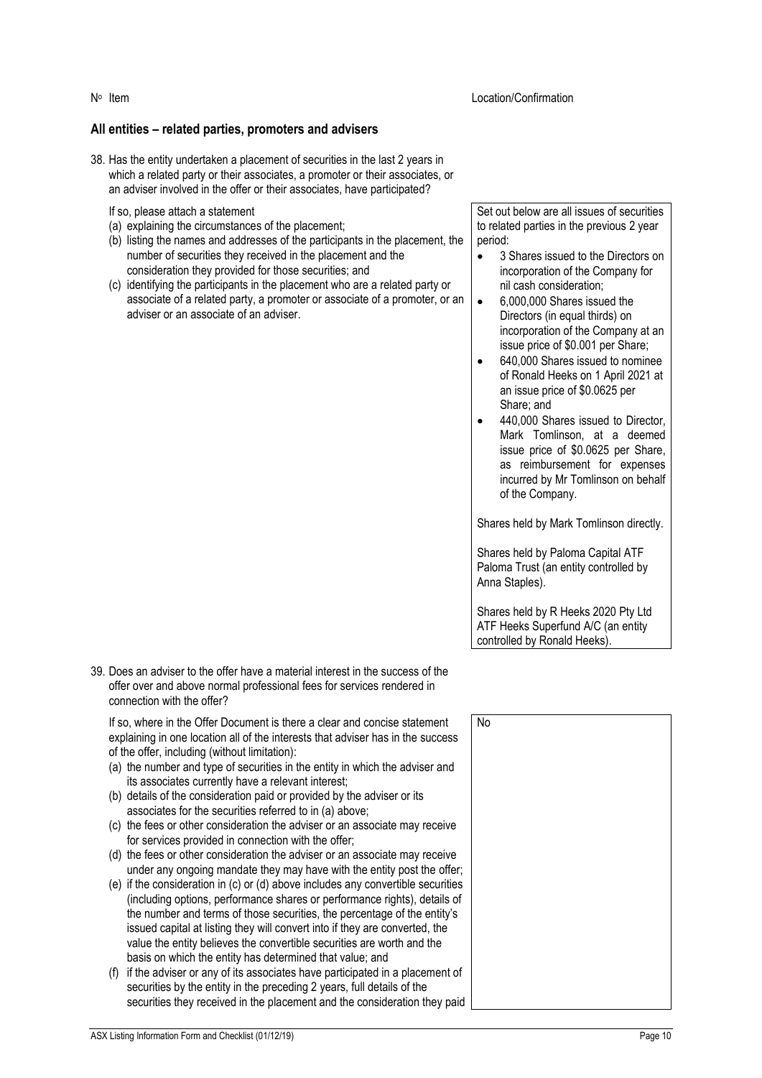#### Location/Confirmation

#### **All entities – related parties, promoters and advisers**

38. Has the entity undertaken a placement of securities in the last 2 years in which a related party or their associates, a promoter or their associates, or an adviser involved in the offer or their associates, have participated?

#### If so, please attach a statement

- (a) explaining the circumstances of the placement;
- (b) listing the names and addresses of the participants in the placement, the number of securities they received in the placement and the consideration they provided for those securities; and
- (c) identifying the participants in the placement who are a related party or associate of a related party, a promoter or associate of a promoter, or an adviser or an associate of an adviser.

Set out below are all issues of securities to related parties in the previous 2 year period:

- 3 Shares issued to the Directors on incorporation of the Company for nil cash consideration;
- 6,000,000 Shares issued the Directors (in equal thirds) on incorporation of the Company at an issue price of \$0.001 per Share;
- 640,000 Shares issued to nominee of Ronald Heeks on 1 April 2021 at an issue price of \$0.0625 per Share; and
- 440,000 Shares issued to Director, Mark Tomlinson, at a deemed issue price of \$0.0625 per Share, as reimbursement for expenses incurred by Mr Tomlinson on behalf of the Company.

Shares held by Mark Tomlinson directly.

Shares held by Paloma Capital ATF Paloma Trust (an entity controlled by Anna Staples).

Shares held by R Heeks 2020 Pty Ltd ATF Heeks Superfund A/C (an entity controlled by Ronald Heeks).

39. Does an adviser to the offer have a material interest in the success of the offer over and above normal professional fees for services rendered in connection with the offer?

If so, where in the Offer Document is there a clear and concise statement explaining in one location all of the interests that adviser has in the success of the offer, including (without limitation):

- (a) the number and type of securities in the entity in which the adviser and its associates currently have a relevant interest;
- (b) details of the consideration paid or provided by the adviser or its associates for the securities referred to in (a) above;
- (c) the fees or other consideration the adviser or an associate may receive for services provided in connection with the offer;
- (d) the fees or other consideration the adviser or an associate may receive under any ongoing mandate they may have with the entity post the offer;
- (e) if the consideration in (c) or (d) above includes any convertible securities (including options, performance shares or performance rights), details of the number and terms of those securities, the percentage of the entity's issued capital at listing they will convert into if they are converted, the value the entity believes the convertible securities are worth and the basis on which the entity has determined that value; and
- (f) if the adviser or any of its associates have participated in a placement of securities by the entity in the preceding 2 years, full details of the securities they received in the placement and the consideration they paid

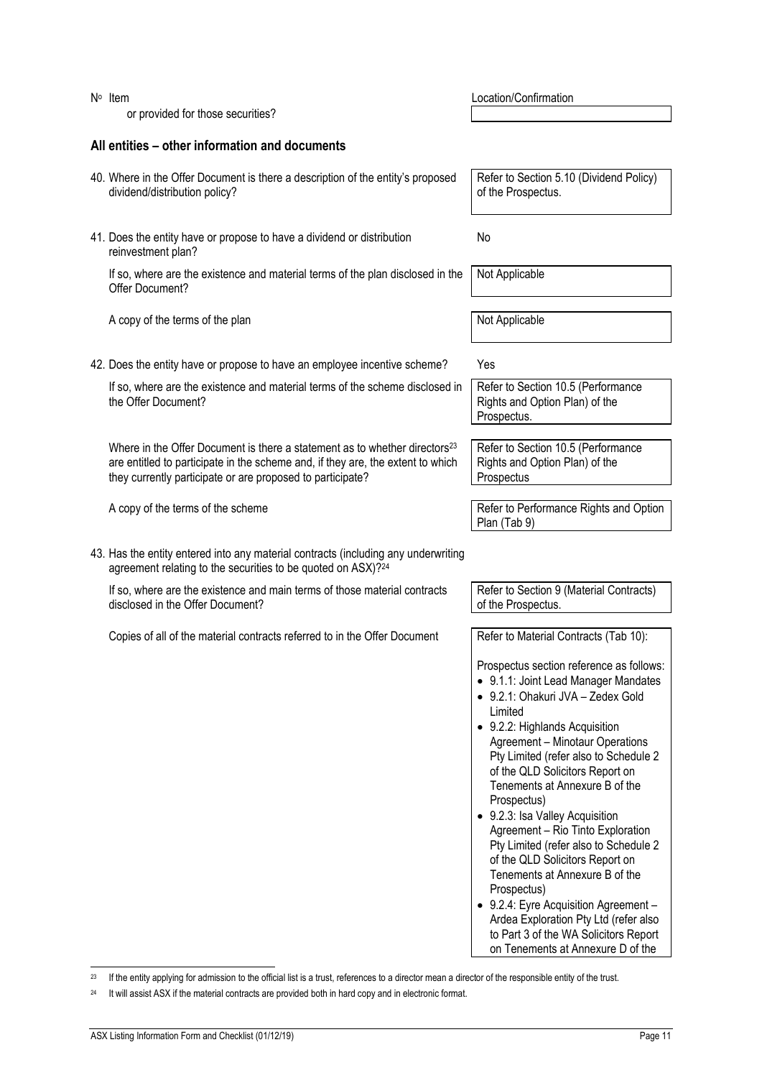| $N^{\circ}$ Item<br>or provided for those securities?                                                                                                                                                                                   | Location/Confirmation                                                                                                                                                                                                                                                                                                                                                                                                                                                                                                                                                                                                                                                                                                                                   |
|-----------------------------------------------------------------------------------------------------------------------------------------------------------------------------------------------------------------------------------------|---------------------------------------------------------------------------------------------------------------------------------------------------------------------------------------------------------------------------------------------------------------------------------------------------------------------------------------------------------------------------------------------------------------------------------------------------------------------------------------------------------------------------------------------------------------------------------------------------------------------------------------------------------------------------------------------------------------------------------------------------------|
| All entities – other information and documents                                                                                                                                                                                          |                                                                                                                                                                                                                                                                                                                                                                                                                                                                                                                                                                                                                                                                                                                                                         |
|                                                                                                                                                                                                                                         |                                                                                                                                                                                                                                                                                                                                                                                                                                                                                                                                                                                                                                                                                                                                                         |
| 40. Where in the Offer Document is there a description of the entity's proposed<br>dividend/distribution policy?                                                                                                                        | Refer to Section 5.10 (Dividend Policy)<br>of the Prospectus.                                                                                                                                                                                                                                                                                                                                                                                                                                                                                                                                                                                                                                                                                           |
| 41. Does the entity have or propose to have a dividend or distribution<br>reinvestment plan?                                                                                                                                            | No                                                                                                                                                                                                                                                                                                                                                                                                                                                                                                                                                                                                                                                                                                                                                      |
| If so, where are the existence and material terms of the plan disclosed in the<br>Offer Document?                                                                                                                                       | Not Applicable                                                                                                                                                                                                                                                                                                                                                                                                                                                                                                                                                                                                                                                                                                                                          |
| A copy of the terms of the plan                                                                                                                                                                                                         | Not Applicable                                                                                                                                                                                                                                                                                                                                                                                                                                                                                                                                                                                                                                                                                                                                          |
| 42. Does the entity have or propose to have an employee incentive scheme?                                                                                                                                                               | Yes                                                                                                                                                                                                                                                                                                                                                                                                                                                                                                                                                                                                                                                                                                                                                     |
| If so, where are the existence and material terms of the scheme disclosed in<br>the Offer Document?                                                                                                                                     | Refer to Section 10.5 (Performance<br>Rights and Option Plan) of the<br>Prospectus.                                                                                                                                                                                                                                                                                                                                                                                                                                                                                                                                                                                                                                                                     |
| Where in the Offer Document is there a statement as to whether directors <sup>23</sup><br>are entitled to participate in the scheme and, if they are, the extent to which<br>they currently participate or are proposed to participate? | Refer to Section 10.5 (Performance<br>Rights and Option Plan) of the<br>Prospectus                                                                                                                                                                                                                                                                                                                                                                                                                                                                                                                                                                                                                                                                      |
| A copy of the terms of the scheme                                                                                                                                                                                                       | Refer to Performance Rights and Option<br>Plan (Tab 9)                                                                                                                                                                                                                                                                                                                                                                                                                                                                                                                                                                                                                                                                                                  |
| 43. Has the entity entered into any material contracts (including any underwriting<br>agreement relating to the securities to be quoted on ASX)?24                                                                                      |                                                                                                                                                                                                                                                                                                                                                                                                                                                                                                                                                                                                                                                                                                                                                         |
| If so, where are the existence and main terms of those material contracts<br>disclosed in the Offer Document?                                                                                                                           | Refer to Section 9 (Material Contracts)<br>of the Prospectus.                                                                                                                                                                                                                                                                                                                                                                                                                                                                                                                                                                                                                                                                                           |
| Copies of all of the material contracts referred to in the Offer Document                                                                                                                                                               | Refer to Material Contracts (Tab 10):<br>Prospectus section reference as follows:<br>• 9.1.1: Joint Lead Manager Mandates<br>• 9.2.1: Ohakuri JVA - Zedex Gold<br>Limited<br>• 9.2.2: Highlands Acquisition<br><b>Agreement - Minotaur Operations</b><br>Pty Limited (refer also to Schedule 2<br>of the QLD Solicitors Report on<br>Tenements at Annexure B of the<br>Prospectus)<br>• 9.2.3: Isa Valley Acquisition<br>Agreement - Rio Tinto Exploration<br>Pty Limited (refer also to Schedule 2<br>of the QLD Solicitors Report on<br>Tenements at Annexure B of the<br>Prospectus)<br>• 9.2.4: Eyre Acquisition Agreement -<br>Ardea Exploration Pty Ltd (refer also<br>to Part 3 of the WA Solicitors Report<br>on Tenements at Annexure D of the |

<sup>&</sup>lt;sup>23</sup> If the entity applying for admission to the official list is a trust, references to a director mean a director of the responsible entity of the trust.

<sup>&</sup>lt;sup>24</sup> It will assist ASX if the material contracts are provided both in hard copy and in electronic format.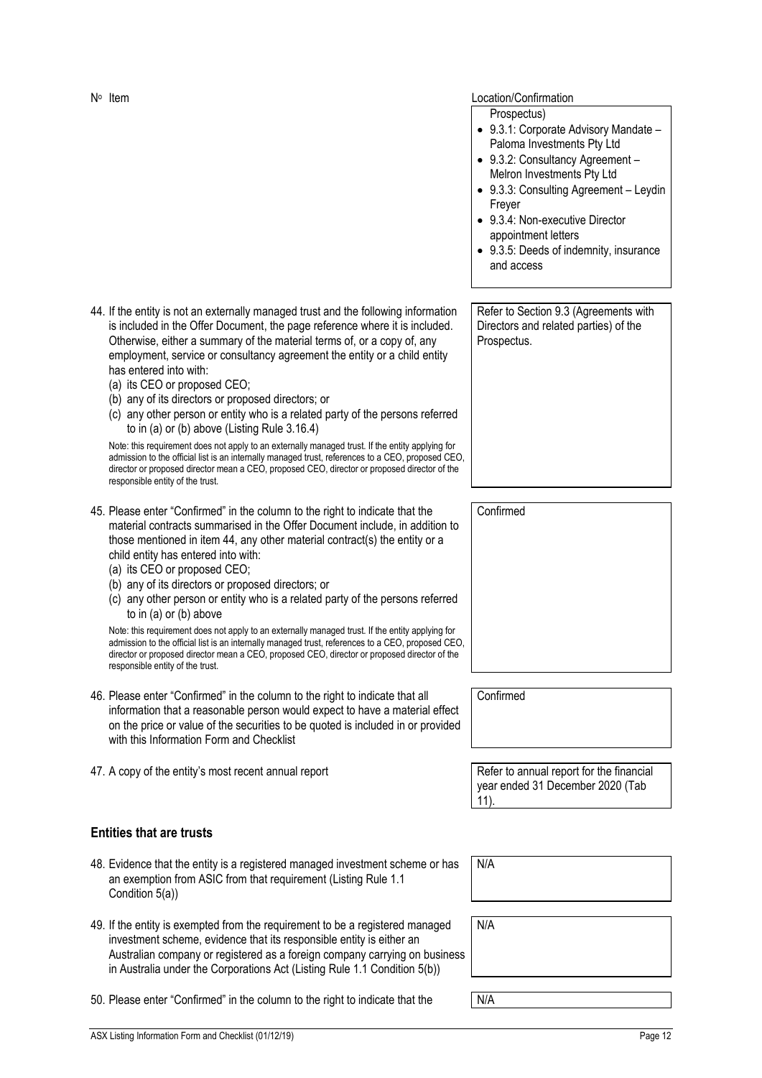#### Location/Confirmation

Prospectus)

- 9.3.1: Corporate Advisory Mandate Paloma Investments Pty Ltd
- 9.3.2: Consultancy Agreement Melron Investments Pty Ltd
- 9.3.3: Consulting Agreement Leydin Freyer
- 9.3.4: Non-executive Director appointment letters
- 9.3.5: Deeds of indemnity, insurance and access

<span id="page-12-0"></span>44. If the entity is not an externally managed trust and the following information is included in the Offer Document, the page reference where it is included. Otherwise, either a summary of the material terms of, or a copy of, any employment, service or consultancy agreement the entity or a child entity has entered into with: Refer to Section 9.3 (Agreements with Directors and related parties) of the Prospectus.

- (a) its CEO or proposed CEO;
- (b) any of its directors or proposed directors; or
- (c) any other person or entity who is a related party of the persons referred to in (a) or (b) above (Listing Rule 3.16.4)

Note: this requirement does not apply to an externally managed trust. If the entity applying for admission to the official list is an internally managed trust, references to a CEO, proposed CEO, director or proposed director mean a CEO, proposed CEO, director or proposed director of the responsible entity of the trust.

- 45. Please enter "Confirmed" in the column to the right to indicate that the material contracts summarised in the Offer Document include, in addition to those mentioned in item [44,](#page-12-0) any other material contract(s) the entity or a child entity has entered into with:
	- (a) its CEO or proposed CEO;
	- (b) any of its directors or proposed directors; or
	- (c) any other person or entity who is a related party of the persons referred to in (a) or (b) above

Note: this requirement does not apply to an externally managed trust. If the entity applying for admission to the official list is an internally managed trust, references to a CEO, proposed CEO, director or proposed director mean a CEO, proposed CEO, director or proposed director of the responsible entity of the trust.

- 46. Please enter "Confirmed" in the column to the right to indicate that all information that a reasonable person would expect to have a material effect on the price or value of the securities to be quoted is included in or provided with this Information Form and Checklist
- 47. A copy of the entity's most recent annual report **Refer to annual report for the financial**

**Entities that are trusts**

| 48. Evidence that the entity is a registered managed investment scheme or has<br>an exemption from ASIC from that requirement (Listing Rule 1.1<br>Condition 5(a))                              | N/A |
|-------------------------------------------------------------------------------------------------------------------------------------------------------------------------------------------------|-----|
| 49. If the entity is exempted from the requirement to be a registered managed<br>A 1990 A 1990 A 1990 A 1990 A 1990 A 1990 A 1990 A 1990 A 1990 A 1990 A 1990 A 1990 A 1990 A 1990 A 1990 A 199 | N/A |

49. If the entity is exempted from the requirement to be a registered managed investment scheme, evidence that its responsible entity is either an Australian company or registered as a foreign company carrying on business in Australia under the Corporations Act (Listing Rule 1.1 Condition 5(b))

50. Please enter "Confirmed" in the column to the right to indicate that the N/A

Confirmed

Confirmed

year ended 31 December 2020 (Tab 11).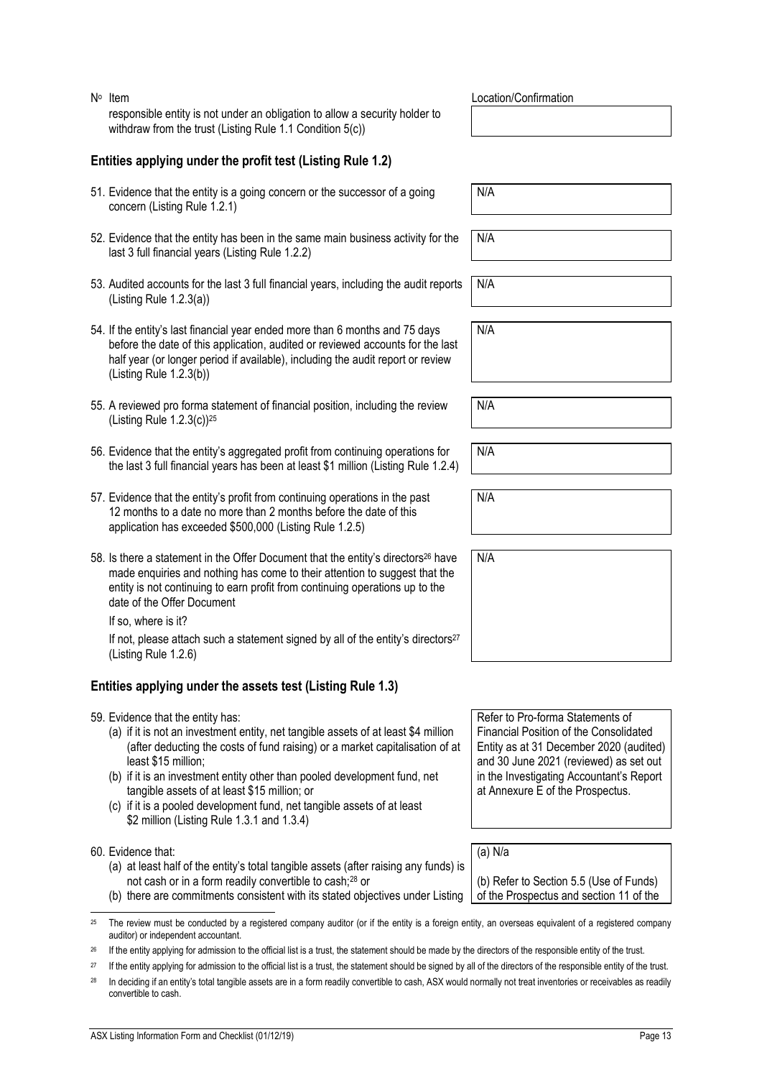N<sup>o</sup> Item responsible entity is not under an obligation to allow a security holder to withdraw from the trust (Listing Rule 1.1 Condition 5(c))

## **Entities applying under the profit test (Listing Rule 1.2)**

- 51. Evidence that the entity is a going concern or the successor of a going concern (Listing Rule 1.2.1)
- 52. Evidence that the entity has been in the same main business activity for the last 3 full financial years (Listing Rule 1.2.2)
- 53. Audited accounts for the last 3 full financial years, including the audit reports (Listing Rule 1.2.3(a))
- 54. If the entity's last financial year ended more than 6 months and 75 days before the date of this application, audited or reviewed accounts for the last half year (or longer period if available), including the audit report or review (Listing Rule 1.2.3(b))
- 55. A reviewed pro forma statement of financial position, including the review (Listing Rule 1.2.3(c))<sup>25</sup>
- 56. Evidence that the entity's aggregated profit from continuing operations for the last 3 full financial years has been at least \$1 million (Listing Rule 1.2.4)
- 57. Evidence that the entity's profit from continuing operations in the past 12 months to a date no more than 2 months before the date of this application has exceeded \$500,000 (Listing Rule 1.2.5)
- 58. Is there a statement in the Offer Document that the entity's directors<sup>26</sup> have made enquiries and nothing has come to their attention to suggest that the entity is not continuing to earn profit from continuing operations up to the date of the Offer Document

If so, where is it?

If not, please attach such a statement signed by all of the entity's directors<sup>27</sup> (Listing Rule 1.2.6)

# **Entities applying under the assets test (Listing Rule 1.3)**

- 59. Evidence that the entity has:
	- (a) if it is not an investment entity, net tangible assets of at least \$4 million (after deducting the costs of fund raising) or a market capitalisation of at least \$15 million;
	- (b) if it is an investment entity other than pooled development fund, net tangible assets of at least \$15 million; or
	- (c) if it is a pooled development fund, net tangible assets of at least \$2 million (Listing Rule 1.3.1 and 1.3.4)

60. Evidence that:

- (a) at least half of the entity's total tangible assets (after raising any funds) is not cash or in a form readily convertible to cash;<sup>28</sup> or
- (b) there are commitments consistent with its stated objectives under Listing
- <sup>25</sup> The review must be conducted by a registered company auditor (or if the entity is a foreign entity, an overseas equivalent of a registered company auditor) or independent accountant.
- <sup>26</sup> If the entity applying for admission to the official list is a trust, the statement should be made by the directors of the responsible entity of the trust.
- <sup>27</sup> If the entity applying for admission to the official list is a trust, the statement should be signed by all of the directors of the responsible entity of the trust.
- <sup>28</sup> In deciding if an entity's total tangible assets are in a form readily convertible to cash, ASX would normally not treat inventories or receivables as readily convertible to cash.

Location/Confirmation

N/A

N/A

N/A

N/A

N/A

N/A

N/A

N/A

Refer to Pro-forma Statements of Financial Position of the Consolidated Entity as at 31 December 2020 (audited) and 30 June 2021 (reviewed) as set out in the Investigating Accountant's Report at Annexure E of the Prospectus.

(a) N/a

(b) Refer to Section 5.5 (Use of Funds) of the Prospectus and section 11 of the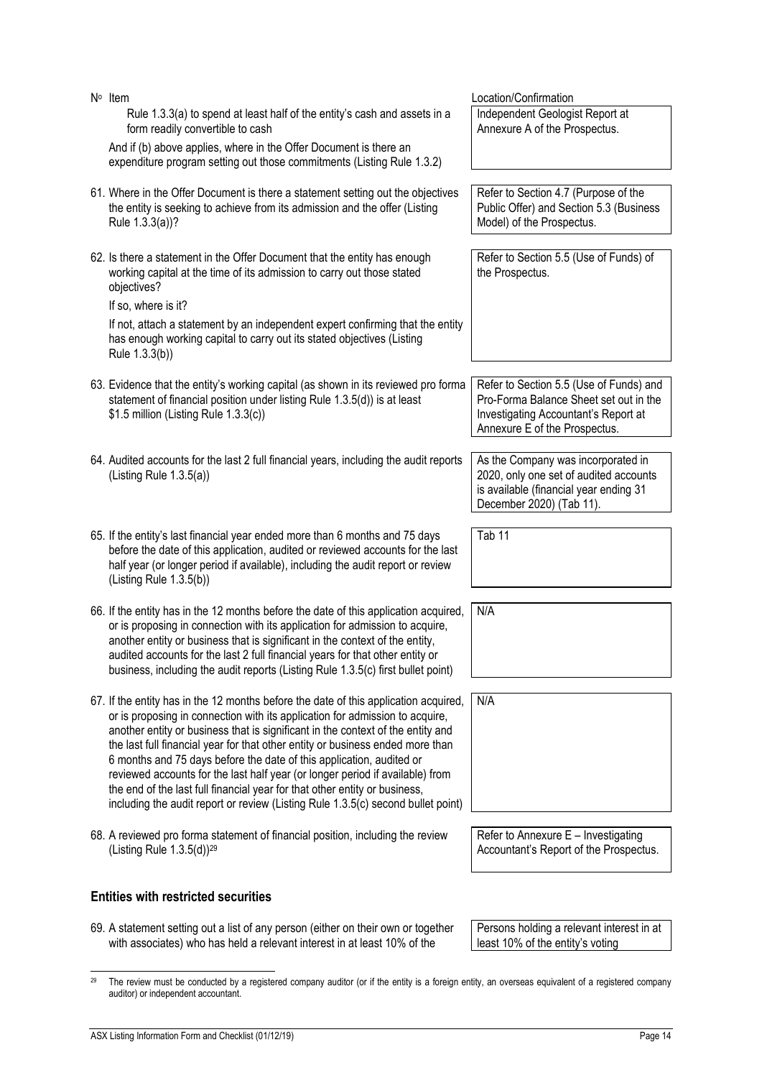| N° Item                                                                                                                                                                                                                                                                                                                                                                                                                                                                                                                                                                                                                                                              | Location/Confirmation                                                                                                                                      |
|----------------------------------------------------------------------------------------------------------------------------------------------------------------------------------------------------------------------------------------------------------------------------------------------------------------------------------------------------------------------------------------------------------------------------------------------------------------------------------------------------------------------------------------------------------------------------------------------------------------------------------------------------------------------|------------------------------------------------------------------------------------------------------------------------------------------------------------|
| Rule 1.3.3(a) to spend at least half of the entity's cash and assets in a<br>form readily convertible to cash                                                                                                                                                                                                                                                                                                                                                                                                                                                                                                                                                        | Independent Geologist Report at<br>Annexure A of the Prospectus.                                                                                           |
| And if (b) above applies, where in the Offer Document is there an<br>expenditure program setting out those commitments (Listing Rule 1.3.2)                                                                                                                                                                                                                                                                                                                                                                                                                                                                                                                          |                                                                                                                                                            |
| 61. Where in the Offer Document is there a statement setting out the objectives<br>the entity is seeking to achieve from its admission and the offer (Listing<br>Rule 1.3.3(a))?                                                                                                                                                                                                                                                                                                                                                                                                                                                                                     | Refer to Section 4.7 (Purpose of the<br>Public Offer) and Section 5.3 (Business<br>Model) of the Prospectus.                                               |
| 62. Is there a statement in the Offer Document that the entity has enough<br>working capital at the time of its admission to carry out those stated<br>objectives?<br>If so, where is it?                                                                                                                                                                                                                                                                                                                                                                                                                                                                            | Refer to Section 5.5 (Use of Funds) of<br>the Prospectus.                                                                                                  |
| If not, attach a statement by an independent expert confirming that the entity<br>has enough working capital to carry out its stated objectives (Listing<br>Rule 1.3.3(b))                                                                                                                                                                                                                                                                                                                                                                                                                                                                                           |                                                                                                                                                            |
| 63. Evidence that the entity's working capital (as shown in its reviewed pro forma<br>statement of financial position under listing Rule 1.3.5(d)) is at least<br>\$1.5 million (Listing Rule 1.3.3(c))                                                                                                                                                                                                                                                                                                                                                                                                                                                              | Refer to Section 5.5 (Use of Funds) and<br>Pro-Forma Balance Sheet set out in the<br>Investigating Accountant's Report at<br>Annexure E of the Prospectus. |
| 64. Audited accounts for the last 2 full financial years, including the audit reports<br>(Listing Rule $1.3.5(a)$ )                                                                                                                                                                                                                                                                                                                                                                                                                                                                                                                                                  | As the Company was incorporated in<br>2020, only one set of audited accounts<br>is available (financial year ending 31<br>December 2020) (Tab 11).         |
| 65. If the entity's last financial year ended more than 6 months and 75 days<br>before the date of this application, audited or reviewed accounts for the last<br>half year (or longer period if available), including the audit report or review<br>(Listing Rule 1.3.5(b))                                                                                                                                                                                                                                                                                                                                                                                         | Tab 11                                                                                                                                                     |
| 66. If the entity has in the 12 months before the date of this application acquired,<br>or is proposing in connection with its application for admission to acquire,<br>another entity or business that is significant in the context of the entity,<br>audited accounts for the last 2 full financial years for that other entity or<br>business, including the audit reports (Listing Rule 1.3.5(c) first bullet point)                                                                                                                                                                                                                                            | N/A                                                                                                                                                        |
| 67. If the entity has in the 12 months before the date of this application acquired,<br>or is proposing in connection with its application for admission to acquire,<br>another entity or business that is significant in the context of the entity and<br>the last full financial year for that other entity or business ended more than<br>6 months and 75 days before the date of this application, audited or<br>reviewed accounts for the last half year (or longer period if available) from<br>the end of the last full financial year for that other entity or business,<br>including the audit report or review (Listing Rule 1.3.5(c) second bullet point) | N/A                                                                                                                                                        |
| 68. A reviewed pro forma statement of financial position, including the review<br>(Listing Rule 1.3.5(d)) <sup>29</sup>                                                                                                                                                                                                                                                                                                                                                                                                                                                                                                                                              | Refer to Annexure E - Investigating<br>Accountant's Report of the Prospectus.                                                                              |
| <b>Entities with restricted securities</b>                                                                                                                                                                                                                                                                                                                                                                                                                                                                                                                                                                                                                           |                                                                                                                                                            |

69. A statement setting out a list of any person (either on their own or together with associates) who has held a relevant interest in at least 10% of the

Persons holding a relevant interest in at least 10% of the entity's voting

 $29$  The review must be conducted by a registered company auditor (or if the entity is a foreign entity, an overseas equivalent of a registered company auditor) or independent accountant.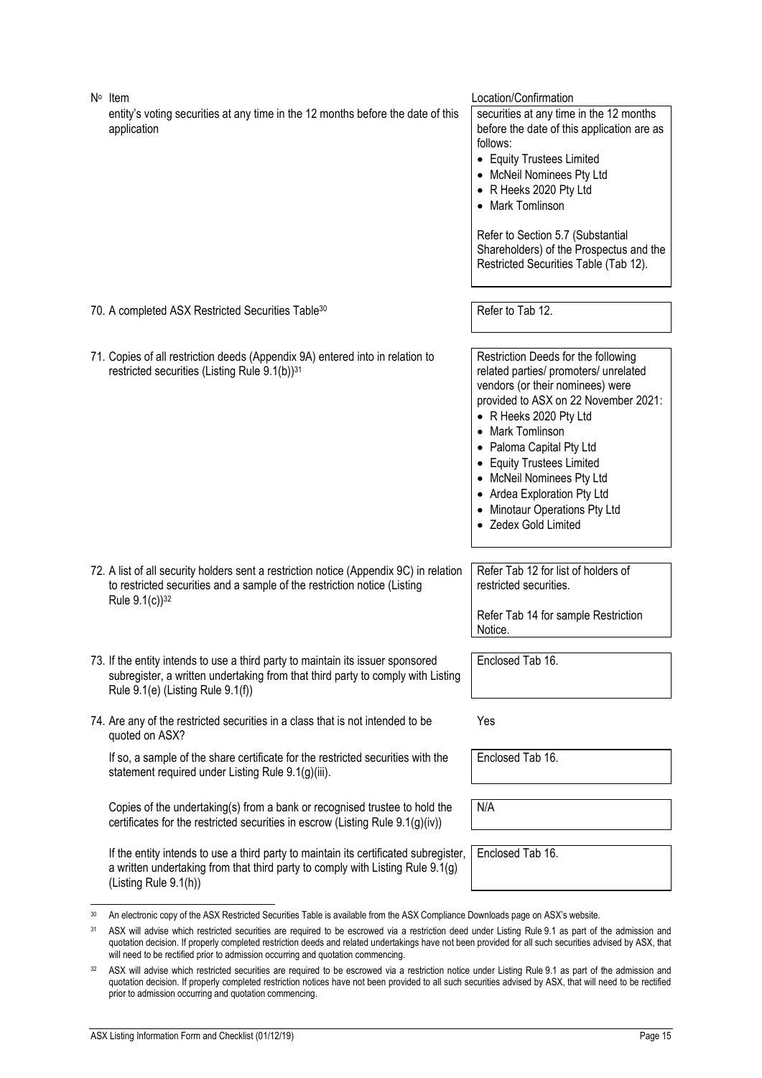<span id="page-15-0"></span>

| $N^{\circ}$ Item<br>entity's voting securities at any time in the 12 months before the date of this<br>application                                                                                      | Location/Confirmation<br>securities at any time in the 12 months<br>before the date of this application are as<br>follows:<br>• Equity Trustees Limited<br>• McNeil Nominees Pty Ltd<br>• R Heeks 2020 Pty Ltd<br>• Mark Tomlinson<br>Refer to Section 5.7 (Substantial<br>Shareholders) of the Prospectus and the<br>Restricted Securities Table (Tab 12).                          |
|---------------------------------------------------------------------------------------------------------------------------------------------------------------------------------------------------------|--------------------------------------------------------------------------------------------------------------------------------------------------------------------------------------------------------------------------------------------------------------------------------------------------------------------------------------------------------------------------------------|
| 70. A completed ASX Restricted Securities Table <sup>30</sup>                                                                                                                                           | Refer to Tab 12.                                                                                                                                                                                                                                                                                                                                                                     |
| 71. Copies of all restriction deeds (Appendix 9A) entered into in relation to<br>restricted securities (Listing Rule 9.1(b)) <sup>31</sup>                                                              | Restriction Deeds for the following<br>related parties/ promoters/ unrelated<br>vendors (or their nominees) were<br>provided to ASX on 22 November 2021:<br>• R Heeks 2020 Pty Ltd<br>• Mark Tomlinson<br>• Paloma Capital Pty Ltd<br>• Equity Trustees Limited<br>• McNeil Nominees Pty Ltd<br>• Ardea Exploration Pty Ltd<br>• Minotaur Operations Pty Ltd<br>• Zedex Gold Limited |
| 72. A list of all security holders sent a restriction notice (Appendix 9C) in relation<br>to restricted securities and a sample of the restriction notice (Listing<br>Rule 9.1(c)) <sup>32</sup>        | Refer Tab 12 for list of holders of<br>restricted securities.<br>Refer Tab 14 for sample Restriction<br>Notice.                                                                                                                                                                                                                                                                      |
| 73. If the entity intends to use a third party to maintain its issuer sponsored<br>subregister, a written undertaking from that third party to comply with Listing<br>Rule 9.1(e) (Listing Rule 9.1(f)) | Enclosed Tab 16.                                                                                                                                                                                                                                                                                                                                                                     |
| 74. Are any of the restricted securities in a class that is not intended to be<br>quoted on ASX?                                                                                                        | Yes                                                                                                                                                                                                                                                                                                                                                                                  |
| If so, a sample of the share certificate for the restricted securities with the<br>statement required under Listing Rule 9.1(g)(iii).                                                                   | Enclosed Tab 16.                                                                                                                                                                                                                                                                                                                                                                     |
| Copies of the undertaking(s) from a bank or recognised trustee to hold the<br>certificates for the restricted securities in escrow (Listing Rule 9.1(g)(iv))                                            | N/A                                                                                                                                                                                                                                                                                                                                                                                  |
| If the entity intends to use a third party to maintain its certificated subregister,<br>a written undertaking from that third party to comply with Listing Rule 9.1(g)<br>(Listing Rule 9.1(h))         | Enclosed Tab 16.                                                                                                                                                                                                                                                                                                                                                                     |

<span id="page-15-1"></span><sup>30</sup> An electronic copy of the ASX Restricted Securities Table is available from the ASX Compliance Downloads page on ASX's website.

<sup>&</sup>lt;sup>31</sup> ASX will advise which restricted securities are required to be escrowed via a restriction deed under Listing Rule 9.1 as part of the admission and quotation decision. If properly completed restriction deeds and related undertakings have not been provided for all such securities advised by ASX, that will need to be rectified prior to admission occurring and quotation commencing.

<sup>&</sup>lt;sup>32</sup> ASX will advise which restricted securities are required to be escrowed via a restriction notice under Listing Rule 9.1 as part of the admission and quotation decision. If properly completed restriction notices have not been provided to all such securities advised by ASX, that will need to be rectified prior to admission occurring and quotation commencing.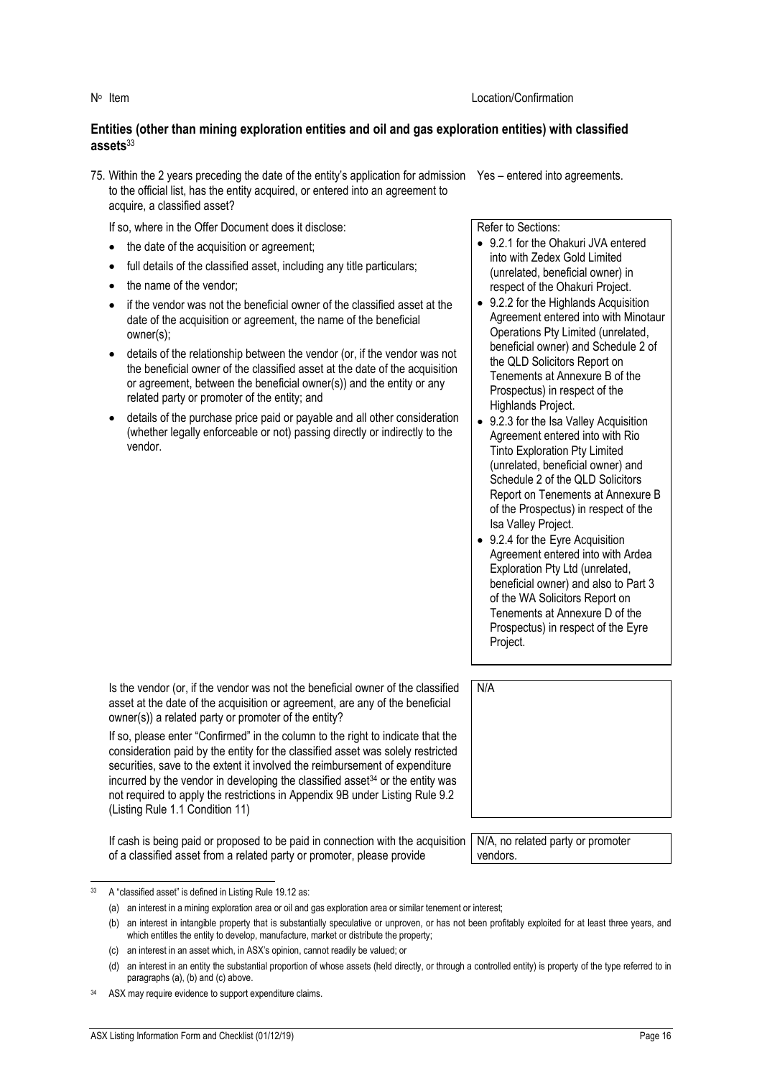#### **Entities (other than mining exploration entities and oil and gas exploration entities) with classified assets**<sup>33</sup>

- 75. Within the 2 years preceding the date of the entity's application for admission Yes entered into agreements. to the official list, has the entity acquired, or entered into an agreement to acquire, a classified asset?
	- If so, where in the Offer Document does it disclose:
	- the date of the acquisition or agreement;
	- full details of the classified asset, including any title particulars;
	- the name of the vendor:
	- if the vendor was not the beneficial owner of the classified asset at the date of the acquisition or agreement, the name of the beneficial owner(s);
	- details of the relationship between the vendor (or, if the vendor was not the beneficial owner of the classified asset at the date of the acquisition or agreement, between the beneficial owner(s)) and the entity or any related party or promoter of the entity; and
	- details of the purchase price paid or payable and all other consideration (whether legally enforceable or not) passing directly or indirectly to the vendor.

Refer to Sections:

- 9.2.1 for the Ohakuri JVA entered into with Zedex Gold Limited (unrelated, beneficial owner) in respect of the Ohakuri Project.
- 9.2.2 for the Highlands Acquisition Agreement entered into with Minotaur Operations Pty Limited (unrelated, beneficial owner) and Schedule 2 of the QLD Solicitors Report on Tenements at Annexure B of the Prospectus) in respect of the Highlands Project.
- 9.2.3 for the Isa Valley Acquisition Agreement entered into with Rio Tinto Exploration Pty Limited (unrelated, beneficial owner) and Schedule 2 of the QLD Solicitors Report on Tenements at Annexure B of the Prospectus) in respect of the Isa Valley Project.
- 9.2.4 for the Eyre Acquisition Agreement entered into with Ardea Exploration Pty Ltd (unrelated, beneficial owner) and also to Part 3 of the WA Solicitors Report on Tenements at Annexure D of the Prospectus) in respect of the Eyre Project.

Is the vendor (or, if the vendor was not the beneficial owner of the classified asset at the date of the acquisition or agreement, are any of the beneficial owner(s)) a related party or promoter of the entity?

If so, please enter "Confirmed" in the column to the right to indicate that the consideration paid by the entity for the classified asset was solely restricted securities, save to the extent it involved the reimbursement of expenditure incurred by the vendor in developing the classified asset $34$  or the entity was not required to apply the restrictions in Appendix 9B under Listing Rule 9.2 (Listing Rule 1.1 Condition 11)

If cash is being paid or proposed to be paid in connection with the acquisition of a classified asset from a related party or promoter, please provide

N/A, no related party or promoter vendors.

<sup>33</sup> A "classified asset" is defined in Listing Rule 19.12 as:

<sup>(</sup>a) an interest in a mining exploration area or oil and gas exploration area or similar tenement or interest;

<sup>(</sup>b) an interest in intangible property that is substantially speculative or unproven, or has not been profitably exploited for at least three years, and which entitles the entity to develop, manufacture, market or distribute the property;

<sup>(</sup>c) an interest in an asset which, in ASX's opinion, cannot readily be valued; or

<sup>(</sup>d) an interest in an entity the substantial proportion of whose assets (held directly, or through a controlled entity) is property of the type referred to in paragraphs (a), (b) and (c) above.

<sup>34</sup> ASX may require evidence to support expenditure claims.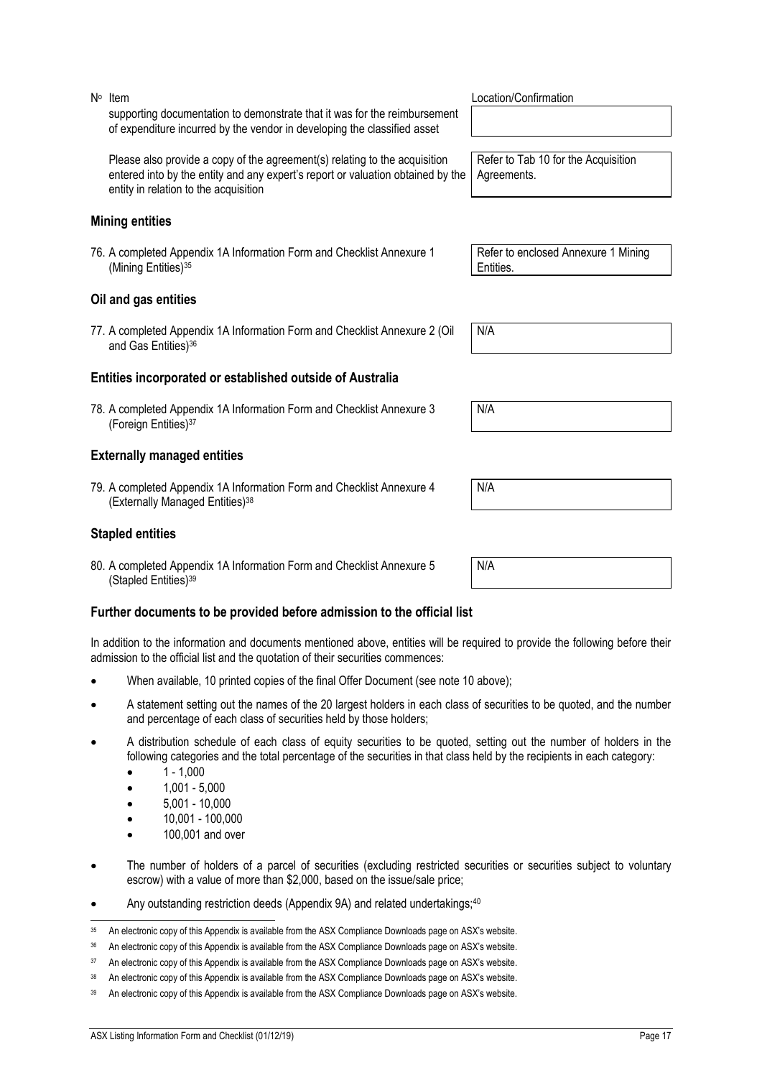supporting documentation to demonstrate that it was for the reimbursement of expenditure incurred by the vendor in developing the classified asset Please also provide a copy of the agreement(s) relating to the acquisition entered into by the entity and any expert's report or valuation obtained by the

entity in relation to the acquisition

### **Mining entities**

N<sup>o</sup> Item

76. A completed Appendix 1A Information Form and Checklist Annexure 1 (Mining Entities)<sup>35</sup>

#### **Oil and gas entities**

77. A completed Appendix 1A Information Form and Checklist Annexure 2 (Oil and Gas Entities)<sup>36</sup>

#### **Entities incorporated or established outside of Australia**

78. A completed Appendix 1A Information Form and Checklist Annexure 3 (Foreign Entities)<sup>37</sup>

#### **Externally managed entities**

79. A completed Appendix 1A Information Form and Checklist Annexure 4 (Externally Managed Entities)<sup>38</sup>

#### **Stapled entities**

80. A completed Appendix 1A Information Form and Checklist Annexure 5 (Stapled Entities)<sup>39</sup>

#### **Further documents to be provided before admission to the official list**

In addition to the information and documents mentioned above, entities will be required to provide the following before their admission to the official list and the quotation of their securities commences:

- When available, 10 printed copies of the final Offer Document (see note [10](#page-5-1) above);
- A statement setting out the names of the 20 largest holders in each class of securities to be quoted, and the number and percentage of each class of securities held by those holders;
- A distribution schedule of each class of equity securities to be quoted, setting out the number of holders in the following categories and the total percentage of the securities in that class held by the recipients in each category:
	- $1 1,000$
	- 1,001 5,000
	- 5,001 10,000
	- 10,001 100,000
	- 100,001 and over
- The number of holders of a parcel of securities (excluding restricted securities or securities subject to voluntary escrow) with a value of more than \$2,000, based on the issue/sale price;
- Any outstanding restriction deeds (Appendix 9A) and related undertakings;<sup>40</sup>

Location/Confirmation

Refer to Tab 10 for the Acquisition Agreements.

Refer to enclosed Annexure 1 Mining Entities.

N/A

N/A

N/A

<sup>35</sup> An electronic copy of this Appendix is available from the ASX Compliance Downloads page on ASX's website.

<sup>36</sup> An electronic copy of this Appendix is available from the ASX Compliance Downloads page on ASX's website.

<sup>&</sup>lt;sup>37</sup> An electronic copy of this Appendix is available from the ASX Compliance Downloads page on ASX's website.

<sup>38</sup> An electronic copy of this Appendix is available from the ASX Compliance Downloads page on ASX's website.

<sup>39</sup> An electronic copy of this Appendix is available from the ASX Compliance Downloads page on ASX's website.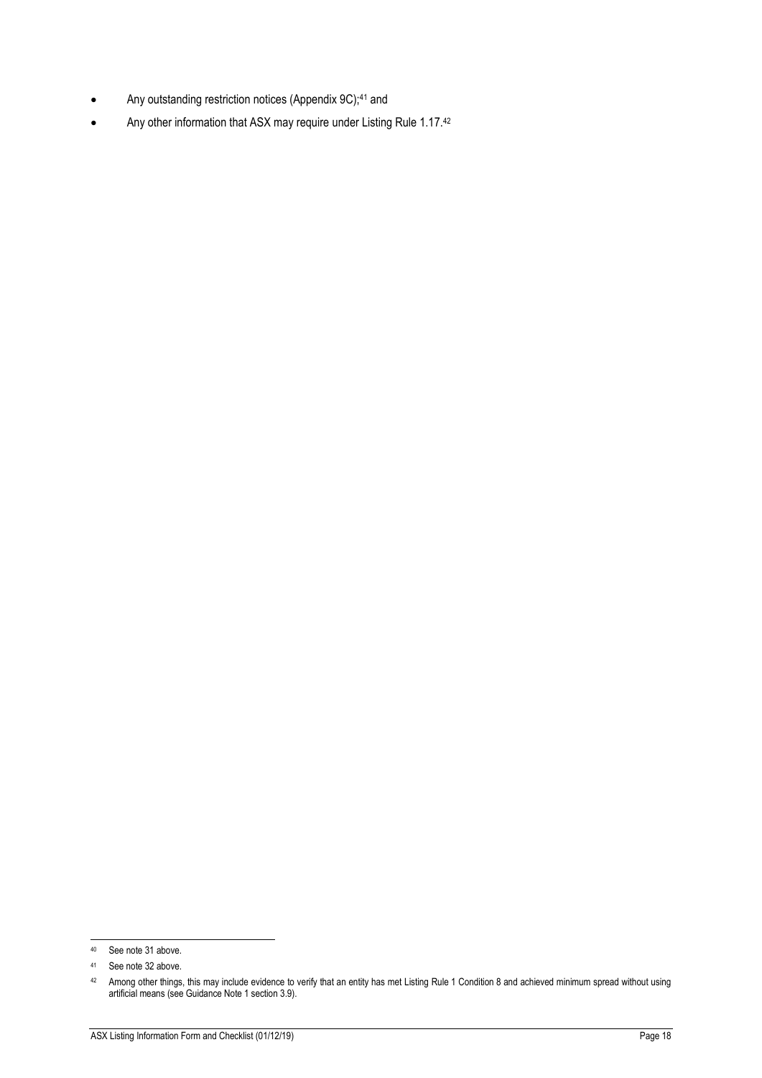- Any outstanding restriction notices (Appendix 9C);<sup>41</sup> and
- Any other information that ASX may require under Listing Rule 1.17.42

<sup>40</sup> See note [31](#page-15-0) above.

<sup>41</sup> See note [32](#page-15-1) above.

<sup>&</sup>lt;sup>42</sup> Among other things, this may include evidence to verify that an entity has met Listing Rule 1 Condition 8 and achieved minimum spread without using artificial means (see Guidance Note 1 section 3.9).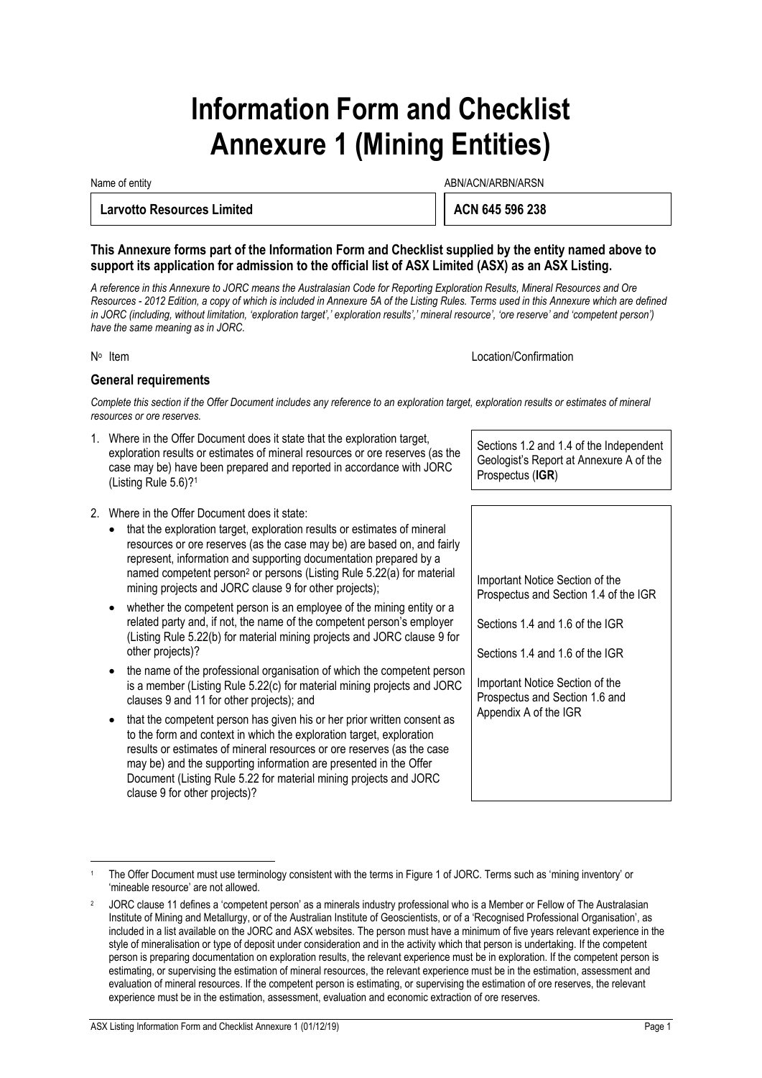# **Information Form and Checklist Annexure 1 (Mining Entities)**

Name of entity and the state of entity and the state of entity and the state of entity and the state of entity  $\Delta$ BN/ACN/ARBN/ARSN

#### **Larvotto Resources Limited**  ACN 645 596 238

**This Annexure forms part of the Information Form and Checklist supplied by the entity named above to support its application for admission to the official list of ASX Limited (ASX) as an ASX Listing.**

*A reference in this Annexure to JORC means the Australasian Code for Reporting Exploration Results, Mineral Resources and Ore Resources - 2012 Edition, a copy of which is included in Annexure 5A of the Listing Rules. Terms used in this Annexure which are defined*  in JORC (including, without limitation, 'exploration target',' exploration results',' mineral resource', 'ore reserve' and 'competent person') *have the same meaning as in JORC.*

N<sup>o</sup> Item

Location/Confirmation

#### **General requirements**

*Complete this section if the Offer Document includes any reference to an exploration target, exploration results or estimates of mineral resources or ore reserves.*

- 1. Where in the Offer Document does it state that the exploration target, exploration results or estimates of mineral resources or ore reserves (as the case may be) have been prepared and reported in accordance with JORC (Listing Rule 5.6)?<sup>1</sup>
- 2. Where in the Offer Document does it state:
	- that the exploration target, exploration results or estimates of mineral resources or ore reserves (as the case may be) are based on, and fairly represent, information and supporting documentation prepared by a named competent person<sup>2</sup> or persons (Listing Rule 5.22(a) for material mining projects and JORC clause 9 for other projects);
	- whether the competent person is an employee of the mining entity or a related party and, if not, the name of the competent person's employer (Listing Rule 5.22(b) for material mining projects and JORC clause 9 for other projects)?
	- the name of the professional organisation of which the competent person is a member (Listing Rule 5.22(c) for material mining projects and JORC clauses 9 and 11 for other projects); and
	- that the competent person has given his or her prior written consent as to the form and context in which the exploration target, exploration results or estimates of mineral resources or ore reserves (as the case may be) and the supporting information are presented in the Offer Document (Listing Rule 5.22 for material mining projects and JORC clause 9 for other projects)?

Sections 1.2 and 1.4 of the Independent Geologist's Report at Annexure A of the Prospectus (**IGR**)

Important Notice Section of the Prospectus and Section 1.4 of the IGR

Sections 1.4 and 1.6 of the IGR

Sections 1.4 and 1.6 of the IGR

Important Notice Section of the Prospectus and Section 1.6 and Appendix A of the IGR

The Offer Document must use terminology consistent with the terms in Figure 1 of JORC. Terms such as 'mining inventory' or 'mineable resource' are not allowed.

<sup>2</sup> JORC clause 11 defines a 'competent person' as a minerals industry professional who is a Member or Fellow of The Australasian Institute of Mining and Metallurgy, or of the Australian Institute of Geoscientists, or of a 'Recognised Professional Organisation', as included in a list available on the JORC and ASX websites. The person must have a minimum of five years relevant experience in the style of mineralisation or type of deposit under consideration and in the activity which that person is undertaking. If the competent person is preparing documentation on exploration results, the relevant experience must be in exploration. If the competent person is estimating, or supervising the estimation of mineral resources, the relevant experience must be in the estimation, assessment and evaluation of mineral resources. If the competent person is estimating, or supervising the estimation of ore reserves, the relevant experience must be in the estimation, assessment, evaluation and economic extraction of ore reserves.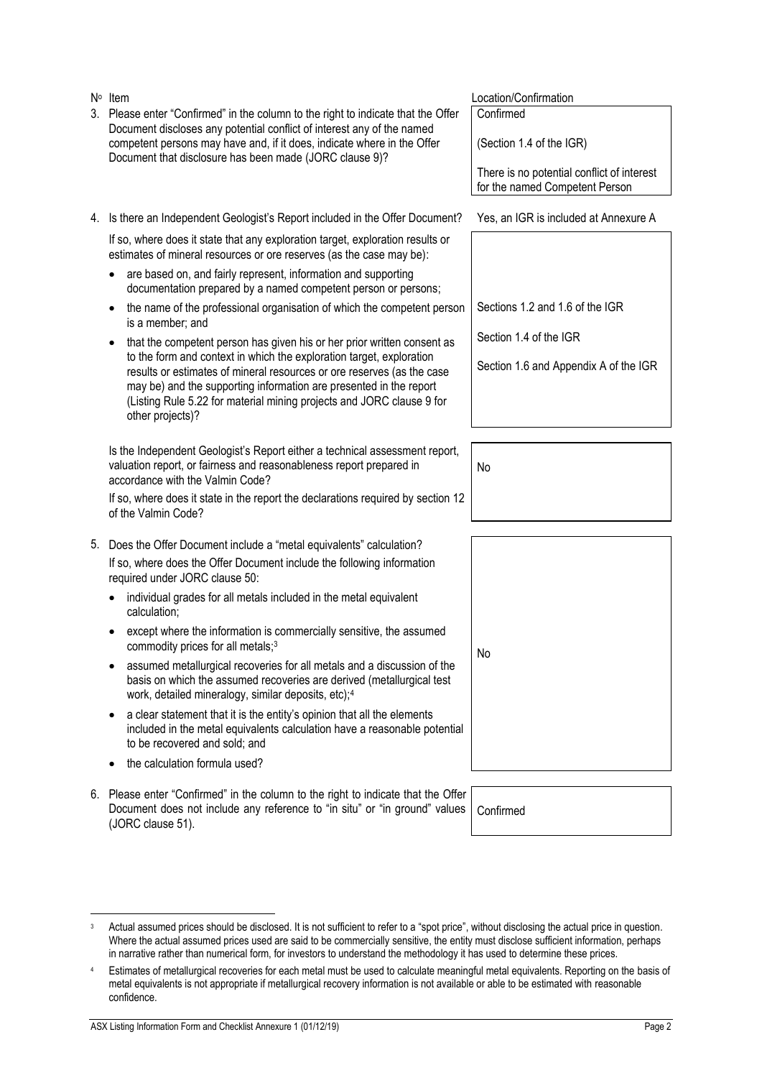|                | other projects)?                                                                                                                                                                                                                                                                                                                                                                                                    |           |
|----------------|---------------------------------------------------------------------------------------------------------------------------------------------------------------------------------------------------------------------------------------------------------------------------------------------------------------------------------------------------------------------------------------------------------------------|-----------|
|                | Is the Independent Geologist's Report either a technical assessment report,<br>valuation report, or fairness and reasonableness report prepared in<br>accordance with the Valmin Code?                                                                                                                                                                                                                              | No        |
|                | If so, where does it state in the report the declarations required by section 12<br>of the Valmin Code?                                                                                                                                                                                                                                                                                                             |           |
| 5.             | Does the Offer Document include a "metal equivalents" calculation?                                                                                                                                                                                                                                                                                                                                                  |           |
|                | If so, where does the Offer Document include the following information<br>required under JORC clause 50:                                                                                                                                                                                                                                                                                                            |           |
|                | individual grades for all metals included in the metal equivalent<br>calculation;                                                                                                                                                                                                                                                                                                                                   |           |
|                | except where the information is commercially sensitive, the assumed<br>commodity prices for all metals; <sup>3</sup>                                                                                                                                                                                                                                                                                                | No        |
|                | assumed metallurgical recoveries for all metals and a discussion of the<br>basis on which the assumed recoveries are derived (metallurgical test<br>work, detailed mineralogy, similar deposits, etc); <sup>4</sup>                                                                                                                                                                                                 |           |
|                | a clear statement that it is the entity's opinion that all the elements<br>included in the metal equivalents calculation have a reasonable potential<br>to be recovered and sold; and                                                                                                                                                                                                                               |           |
|                | the calculation formula used?                                                                                                                                                                                                                                                                                                                                                                                       |           |
| 6.             | Please enter "Confirmed" in the column to the right to indicate that the Offer<br>Document does not include any reference to "in situ" or "in ground" values<br>(JORC clause 51).                                                                                                                                                                                                                                   | Confirmed |
|                |                                                                                                                                                                                                                                                                                                                                                                                                                     |           |
|                |                                                                                                                                                                                                                                                                                                                                                                                                                     |           |
| 3              | Actual assumed prices should be disclosed. It is not sufficient to refer to a "spot price", without disclosing the actual price in question.<br>Where the actual assumed prices used are said to be commercially sensitive, the entity must disclose sufficient information, perhaps<br>in narrative rather than numerical form, for investors to understand the methodology it has used to determine these prices. |           |
| $\overline{4}$ | Estimates of metallurgical recoveries for each metal must be used to calculate meaningful metal equivalents. Reporting on the basis of<br>metal equivalents is not appropriate if metallurgical recovery information is not available or able to be estimated with reasonable<br>confidence.                                                                                                                        |           |
|                | ASX Listing Information Form and Checklist Annexure 1 (01/12/19)                                                                                                                                                                                                                                                                                                                                                    | Page 2    |
|                |                                                                                                                                                                                                                                                                                                                                                                                                                     |           |
|                |                                                                                                                                                                                                                                                                                                                                                                                                                     |           |
|                |                                                                                                                                                                                                                                                                                                                                                                                                                     |           |

If so, where does it state that any exploration target, exploration results or estimates of mineral resources or ore reserves (as the case may be):

3. Please enter "Confirmed" in the column to the right to indicate that the Offer Document discloses any potential conflict of interest any of the named competent persons may have and, if it does, indicate where in the Offer

Document that disclosure has been made (JORC clause 9)?

are based on, and fairly represent, information and supporting documentation prepared by a named competent person or persons;

N° Item

- the name of the professional organisation of which the competent person is a member; and
- that the competent person has given his or her prior written consent as to the form and context in which the exploration target, exploration results or estimates of mineral resources or ore reserves (as the case may be) and the supporting information are presented in the report (Listing Rule 5.22 for material mining projects and JORC clause 9 for other projects)?

| Item | Location/Confirmation |
|------|-----------------------|
|------|-----------------------|

Confirmed

(Section 1.4 of the IGR)

There is no potential conflict of interest for the named Competent Person

4. Is there an Independent Geologist's Report included in the Offer Document? Yes, an IGR is included at Annexure A

Sections 1.2 and 1.6 of the IGR

Section 1.4 of the IGR

Section 1.6 and Appendix A of the IGR

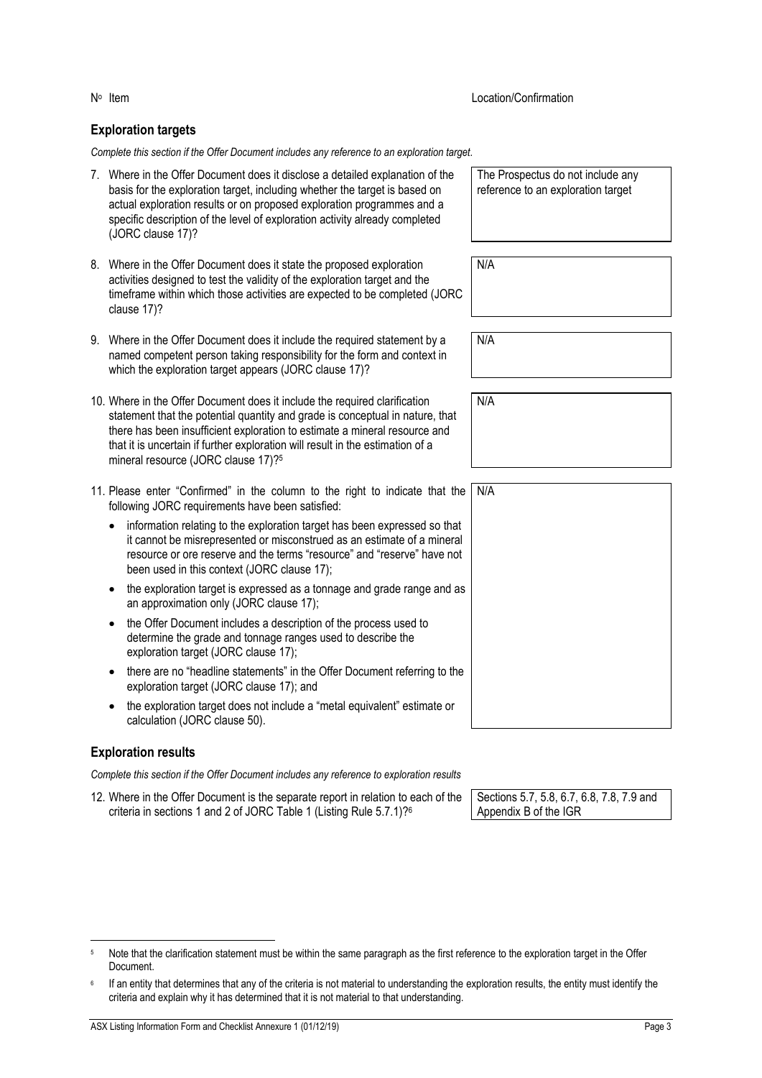#### **Exploration targets**

*Complete this section if the Offer Document includes any reference to an exploration target.*

- 7. Where in the Offer Document does it disclose a detailed explanation of the basis for the exploration target, including whether the target is based on actual exploration results or on proposed exploration programmes and a specific description of the level of exploration activity already completed (JORC clause 17)?
- 8. Where in the Offer Document does it state the proposed exploration activities designed to test the validity of the exploration target and the timeframe within which those activities are expected to be completed (JORC clause 17)?
- 9. Where in the Offer Document does it include the required statement by a named competent person taking responsibility for the form and context in which the exploration target appears (JORC clause 17)?
- 10. Where in the Offer Document does it include the required clarification statement that the potential quantity and grade is conceptual in nature, that there has been insufficient exploration to estimate a mineral resource and that it is uncertain if further exploration will result in the estimation of a mineral resource (JORC clause 17)?<sup>5</sup>
- 11. Please enter "Confirmed" in the column to the right to indicate that the following JORC requirements have been satisfied:
	- information relating to the exploration target has been expressed so that it cannot be misrepresented or misconstrued as an estimate of a mineral resource or ore reserve and the terms "resource" and "reserve" have not been used in this context (JORC clause 17);
	- the exploration target is expressed as a tonnage and grade range and as an approximation only (JORC clause 17);
	- the Offer Document includes a description of the process used to determine the grade and tonnage ranges used to describe the exploration target (JORC clause 17);
	- there are no "headline statements" in the Offer Document referring to the exploration target (JORC clause 17); and
	- the exploration target does not include a "metal equivalent" estimate or calculation (JORC clause 50).

#### **Exploration results**

*Complete this section if the Offer Document includes any reference to exploration results*

12. Where in the Offer Document is the separate report in relation to each of the criteria in sections 1 and 2 of JORC Table 1 (Listing Rule 5.7.1)?<sup>6</sup>

Sections 5.7, 5.8, 6.7, 6.8, 7.8, 7.9 and Appendix B of the IGR

Note that the clarification statement must be within the same paragraph as the first reference to the exploration target in the Offer Document.

Location/Confirmation

N/A

N/A

N/A

The Prospectus do not include any reference to an exploration target

<sup>6</sup> If an entity that determines that any of the criteria is not material to understanding the exploration results, the entity must identify the criteria and explain why it has determined that it is not material to that understanding.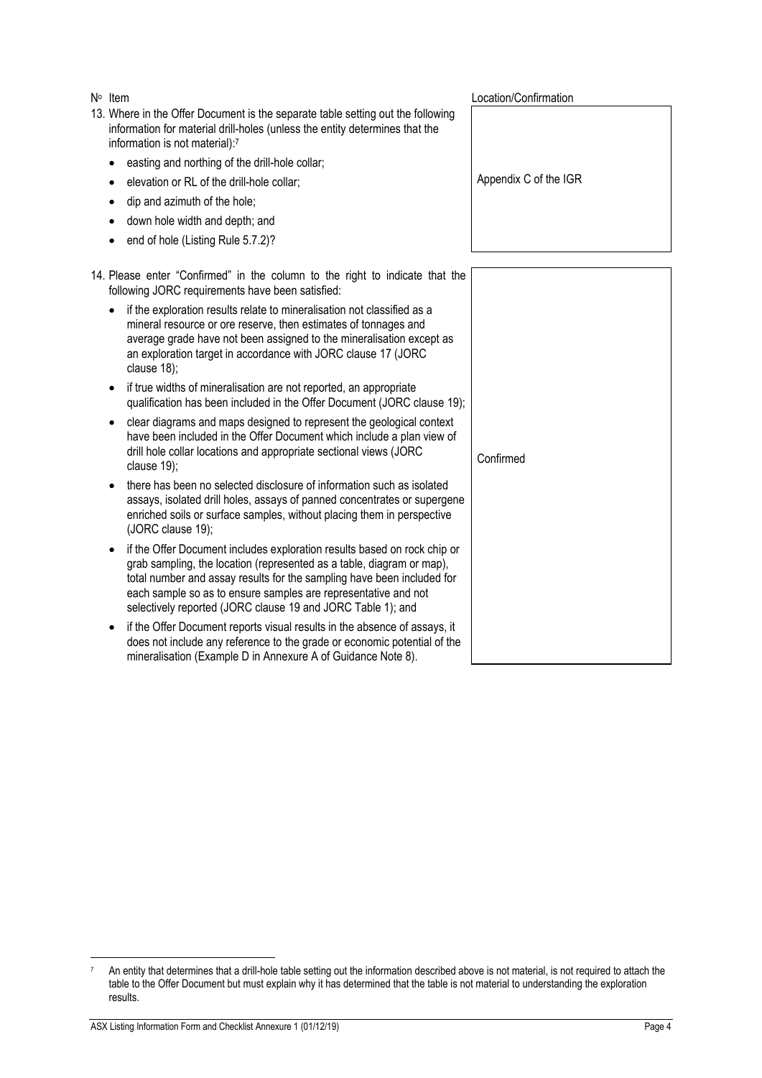N<sup>o</sup> Item Location/Confirmation 13. Where in the Offer Document is the separate table setting out the following information for material drill-holes (unless the entity determines that the information is not material):<sup>7</sup> easting and northing of the drill-hole collar; • elevation or RL of the drill-hole collar; dip and azimuth of the hole; • down hole width and depth; and end of hole (Listing Rule 5.7.2)? Appendix C of the IGR 14. Please enter "Confirmed" in the column to the right to indicate that the following JORC requirements have been satisfied: • if the exploration results relate to mineralisation not classified as a mineral resource or ore reserve, then estimates of tonnages and average grade have not been assigned to the mineralisation except as an exploration target in accordance with JORC clause 17 (JORC clause 18); • if true widths of mineralisation are not reported, an appropriate qualification has been included in the Offer Document (JORC clause 19); • clear diagrams and maps designed to represent the geological context have been included in the Offer Document which include a plan view of drill hole collar locations and appropriate sectional views (JORC clause 19); • there has been no selected disclosure of information such as isolated assays, isolated drill holes, assays of panned concentrates or supergene enriched soils or surface samples, without placing them in perspective (JORC clause 19); • if the Offer Document includes exploration results based on rock chip or grab sampling, the location (represented as a table, diagram or map), total number and assay results for the sampling have been included for each sample so as to ensure samples are representative and not selectively reported (JORC clause 19 and JORC Table 1); and • if the Offer Document reports visual results in the absence of assays, it does not include any reference to the grade or economic potential of the mineralisation (Example D in Annexure A of Guidance Note 8). Confirmed

<sup>7</sup> An entity that determines that a drill-hole table setting out the information described above is not material, is not required to attach the table to the Offer Document but must explain why it has determined that the table is not material to understanding the exploration results.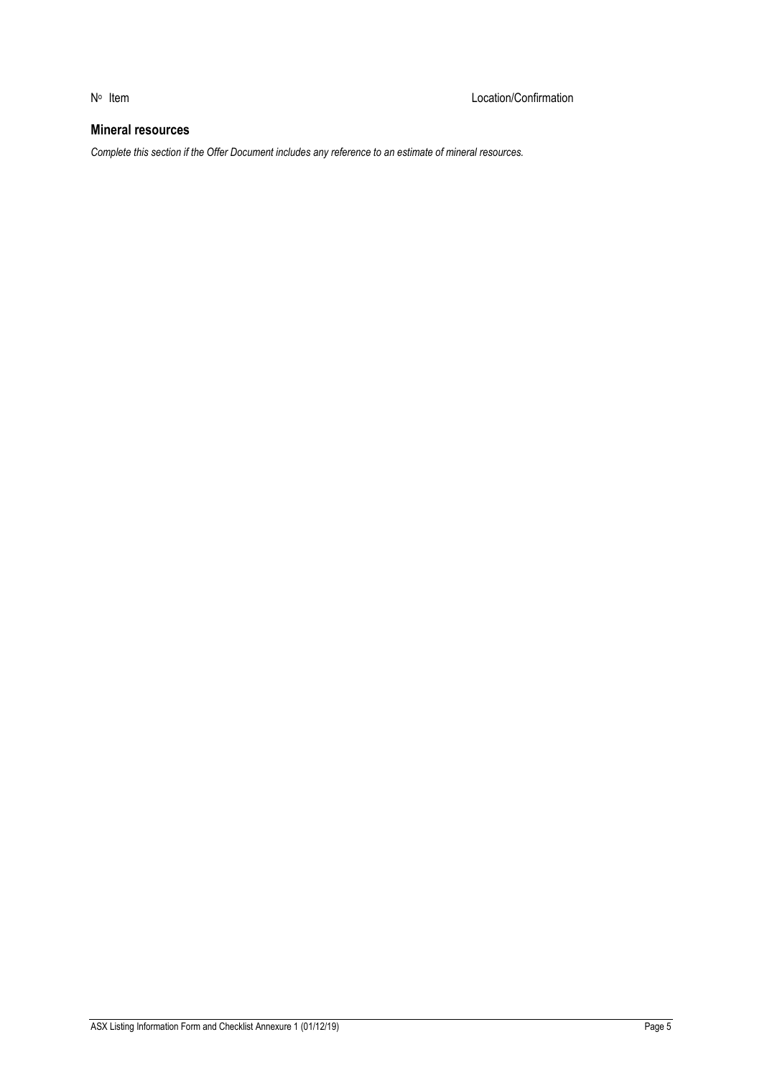# **Mineral resources**

*Complete this section if the Offer Document includes any reference to an estimate of mineral resources.*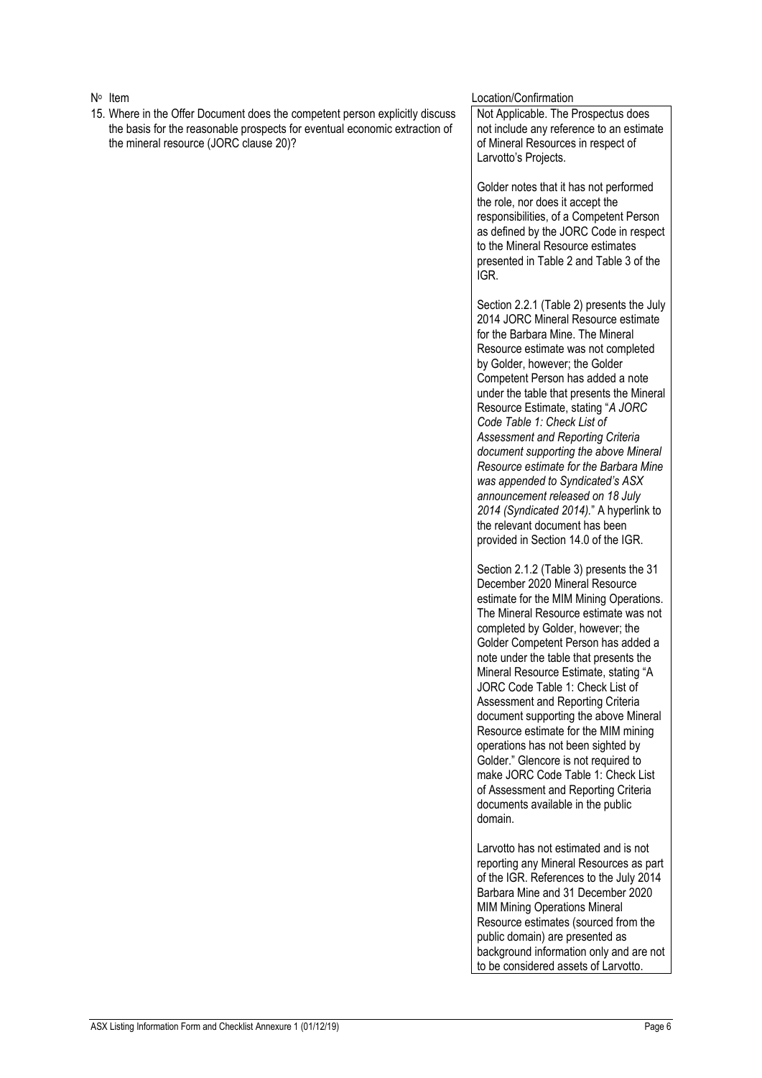15. Where in the Offer Document does the competent person explicitly discuss the basis for the reasonable prospects for eventual economic extraction of the mineral resource (JORC clause 20)?

#### Location/Confirmation

Not Applicable. The Prospectus does not include any reference to an estimate of Mineral Resources in respect of Larvotto's Projects.

Golder notes that it has not performed the role, nor does it accept the responsibilities, of a Competent Person as defined by the JORC Code in respect to the Mineral Resource estimates presented in Table 2 and Table 3 of the IGR.

Section 2.2.1 (Table 2) presents the July 2014 JORC Mineral Resource estimate for the Barbara Mine. The Mineral Resource estimate was not completed by Golder, however; the Golder Competent Person has added a note under the table that presents the Mineral Resource Estimate, stating "*A JORC Code Table 1: Check List of Assessment and Reporting Criteria document supporting the above Mineral Resource estimate for the Barbara Mine was appended to Syndicated's ASX announcement released on 18 July 2014 (Syndicated 2014).*" A hyperlink to the relevant document has been provided in Section 14.0 of the IGR.

Section 2.1.2 (Table 3) presents the 31 December 2020 Mineral Resource estimate for the MIM Mining Operations. The Mineral Resource estimate was not completed by Golder, however; the Golder Competent Person has added a note under the table that presents the Mineral Resource Estimate, stating "A JORC Code Table 1: Check List of Assessment and Reporting Criteria document supporting the above Mineral Resource estimate for the MIM mining operations has not been sighted by Golder." Glencore is not required to make JORC Code Table 1: Check List of Assessment and Reporting Criteria documents available in the public domain.

Larvotto has not estimated and is not reporting any Mineral Resources as part of the IGR. References to the July 2014 Barbara Mine and 31 December 2020 MIM Mining Operations Mineral Resource estimates (sourced from the public domain) are presented as background information only and are not to be considered assets of Larvotto.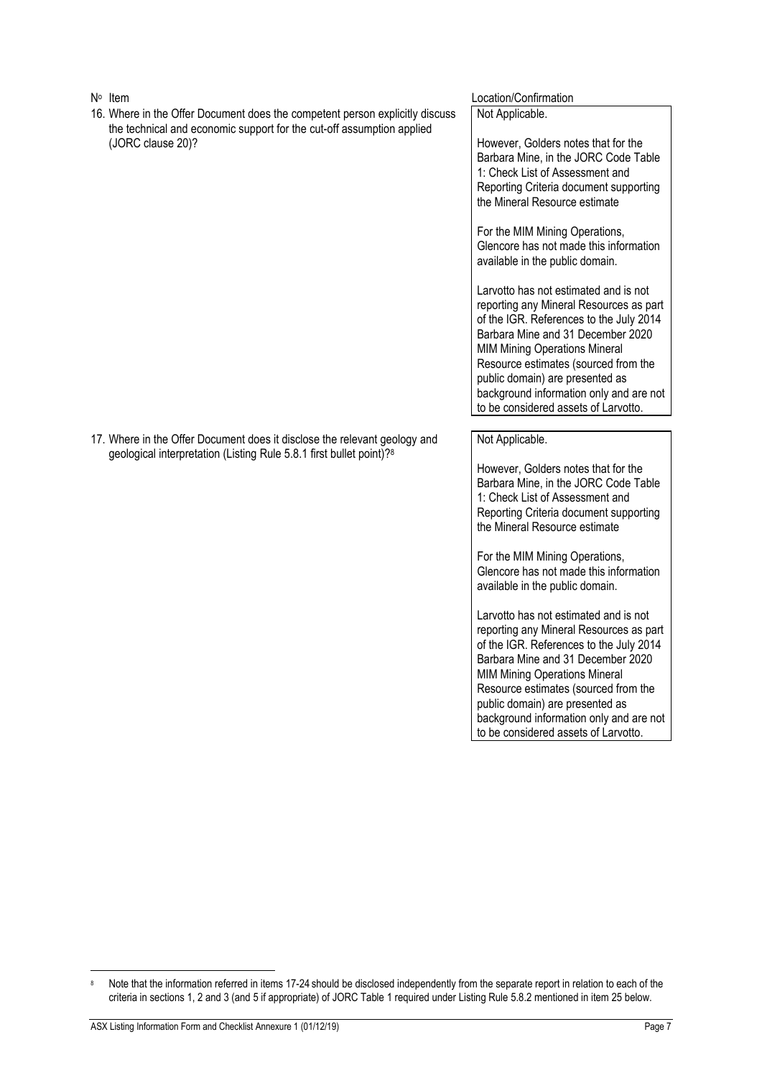16. Where in the Offer Document does the competent person explicitly discuss the technical and economic support for the cut-off assumption applied (JORC clause 20)?

#### Location/Confirmation

Not Applicable.

However, Golders notes that for the Barbara Mine, in the JORC Code Table 1: Check List of Assessment and Reporting Criteria document supporting the Mineral Resource estimate

For the MIM Mining Operations, Glencore has not made this information available in the public domain.

Larvotto has not estimated and is not reporting any Mineral Resources as part of the IGR. References to the July 2014 Barbara Mine and 31 December 2020 MIM Mining Operations Mineral Resource estimates (sourced from the public domain) are presented as background information only and are not to be considered assets of Larvotto.

Not Applicable.

However, Golders notes that for the Barbara Mine, in the JORC Code Table 1: Check List of Assessment and Reporting Criteria document supporting the Mineral Resource estimate

For the MIM Mining Operations, Glencore has not made this information available in the public domain.

Larvotto has not estimated and is not reporting any Mineral Resources as part of the IGR. References to the July 2014 Barbara Mine and 31 December 2020 MIM Mining Operations Mineral Resource estimates (sourced from the public domain) are presented as background information only and are not to be considered assets of Larvotto.

17. Where in the Offer Document does it disclose the relevant geology and geological interpretation (Listing Rule 5.8.1 first bullet point)?<sup>8</sup>

Note that the information referred in items 17-24 should be disclosed independently from the separate report in relation to each of the criteria in sections 1, 2 and 3 (and 5 if appropriate) of JORC Table 1 required under Listing Rule 5.8.2 mentioned in item 25 below.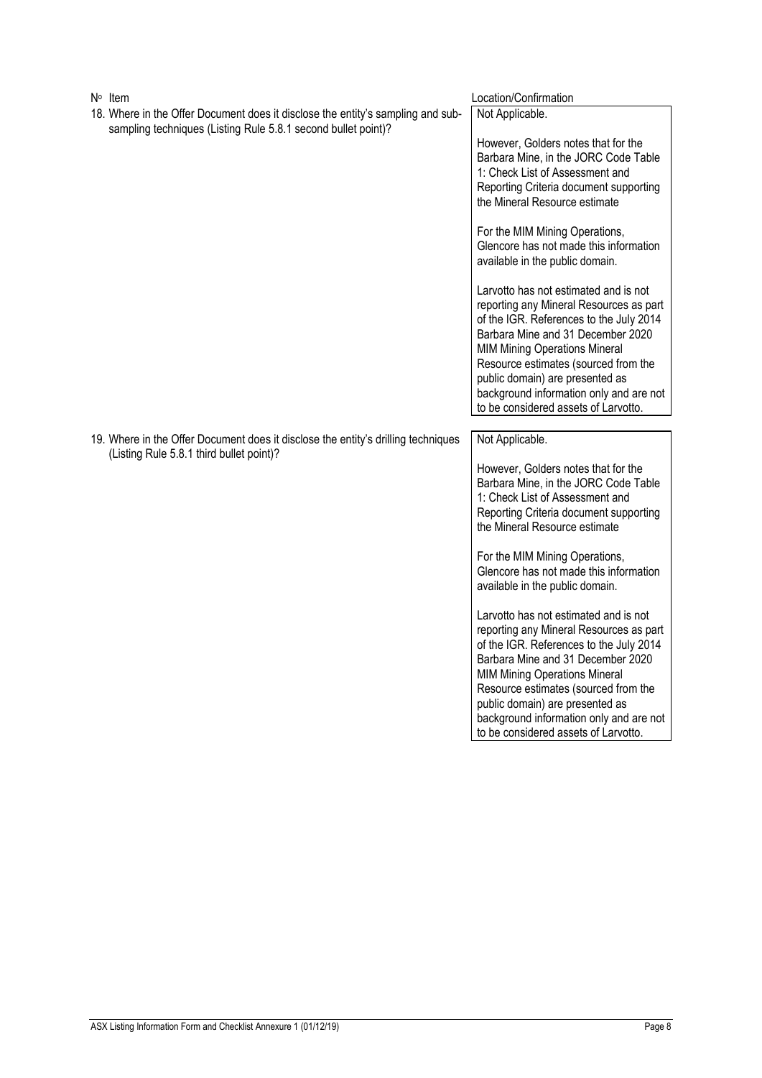| $N^{\circ}$ Item                                                                                                                                 | Location/Confirmation                                                                                                                                                                                                                                                                                                                                                  |
|--------------------------------------------------------------------------------------------------------------------------------------------------|------------------------------------------------------------------------------------------------------------------------------------------------------------------------------------------------------------------------------------------------------------------------------------------------------------------------------------------------------------------------|
| 18. Where in the Offer Document does it disclose the entity's sampling and sub-<br>sampling techniques (Listing Rule 5.8.1 second bullet point)? | Not Applicable.                                                                                                                                                                                                                                                                                                                                                        |
|                                                                                                                                                  | However, Golders notes that for the<br>Barbara Mine, in the JORC Code Table<br>1: Check List of Assessment and<br>Reporting Criteria document supporting<br>the Mineral Resource estimate                                                                                                                                                                              |
|                                                                                                                                                  | For the MIM Mining Operations,<br>Glencore has not made this information<br>available in the public domain.                                                                                                                                                                                                                                                            |
|                                                                                                                                                  | Larvotto has not estimated and is not<br>reporting any Mineral Resources as part<br>of the IGR. References to the July 2014<br>Barbara Mine and 31 December 2020<br><b>MIM Mining Operations Mineral</b><br>Resource estimates (sourced from the<br>public domain) are presented as<br>background information only and are not<br>to be considered assets of Larvotto. |
| 19. Where in the Offer Document does it disclose the entity's drilling techniques                                                                | Not Applicable.                                                                                                                                                                                                                                                                                                                                                        |
| (Listing Rule 5.8.1 third bullet point)?                                                                                                         | However, Golders notes that for the<br>Barbara Mine, in the JORC Code Table<br>1: Check List of Assessment and<br>Reporting Criteria document supporting<br>the Mineral Resource estimate                                                                                                                                                                              |
|                                                                                                                                                  | For the MIM Mining Operations,<br>Glencore has not made this information<br>available in the public domain.                                                                                                                                                                                                                                                            |
|                                                                                                                                                  | Larvotto has not estimated and is not<br>reporting any Mineral Resources as part<br>of the IGR. References to the July 2014<br>Barbara Mine and 31 December 2020<br><b>MIM Mining Operations Mineral</b><br>Resource estimates (sourced from the<br>public domain) are presented as<br>background information only and are not<br>to be considered assets of Larvotto. |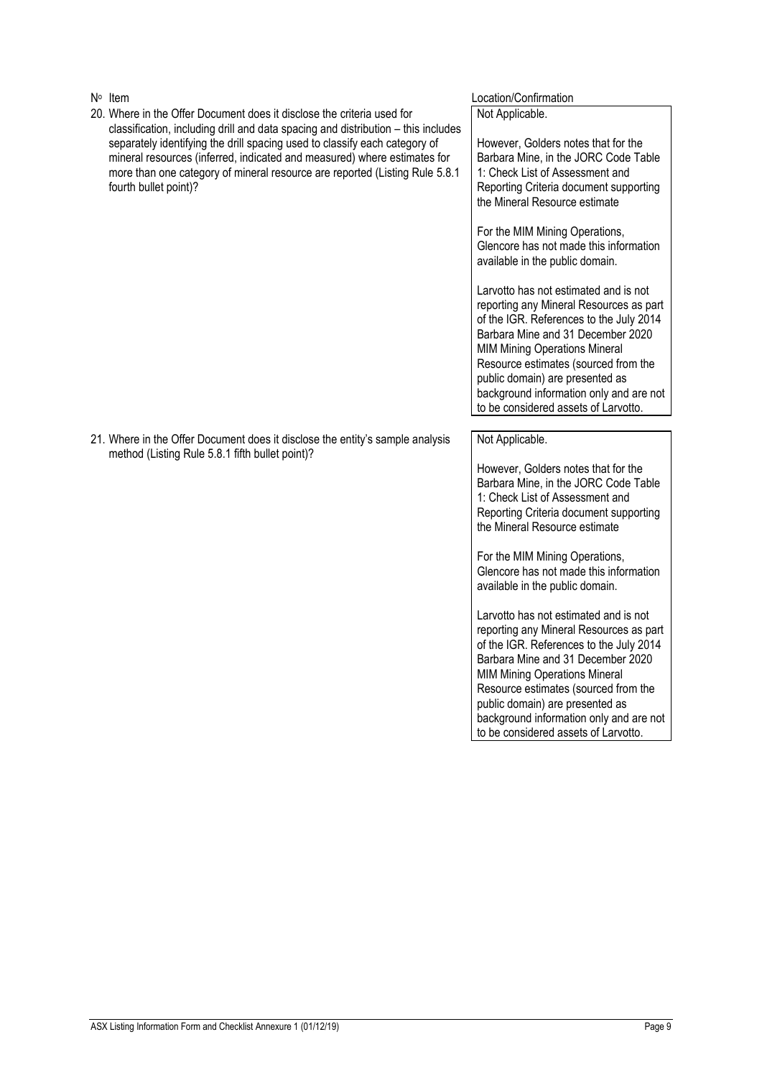20. Where in the Offer Document does it disclose the criteria used for classification, including drill and data spacing and distribution – this includes separately identifying the drill spacing used to classify each category of mineral resources (inferred, indicated and measured) where estimates for more than one category of mineral resource are reported (Listing Rule 5.8.1 fourth bullet point)?

#### Location/Confirmation

Not Applicable.

However, Golders notes that for the Barbara Mine, in the JORC Code Table 1: Check List of Assessment and Reporting Criteria document supporting the Mineral Resource estimate

For the MIM Mining Operations, Glencore has not made this information available in the public domain.

Larvotto has not estimated and is not reporting any Mineral Resources as part of the IGR. References to the July 2014 Barbara Mine and 31 December 2020 MIM Mining Operations Mineral Resource estimates (sourced from the public domain) are presented as background information only and are not to be considered assets of Larvotto.

21. Where in the Offer Document does it disclose the entity's sample analysis method (Listing Rule 5.8.1 fifth bullet point)?

#### Not Applicable.

However, Golders notes that for the Barbara Mine, in the JORC Code Table 1: Check List of Assessment and Reporting Criteria document supporting the Mineral Resource estimate

For the MIM Mining Operations, Glencore has not made this information available in the public domain.

Larvotto has not estimated and is not reporting any Mineral Resources as part of the IGR. References to the July 2014 Barbara Mine and 31 December 2020 MIM Mining Operations Mineral Resource estimates (sourced from the public domain) are presented as background information only and are not to be considered assets of Larvotto.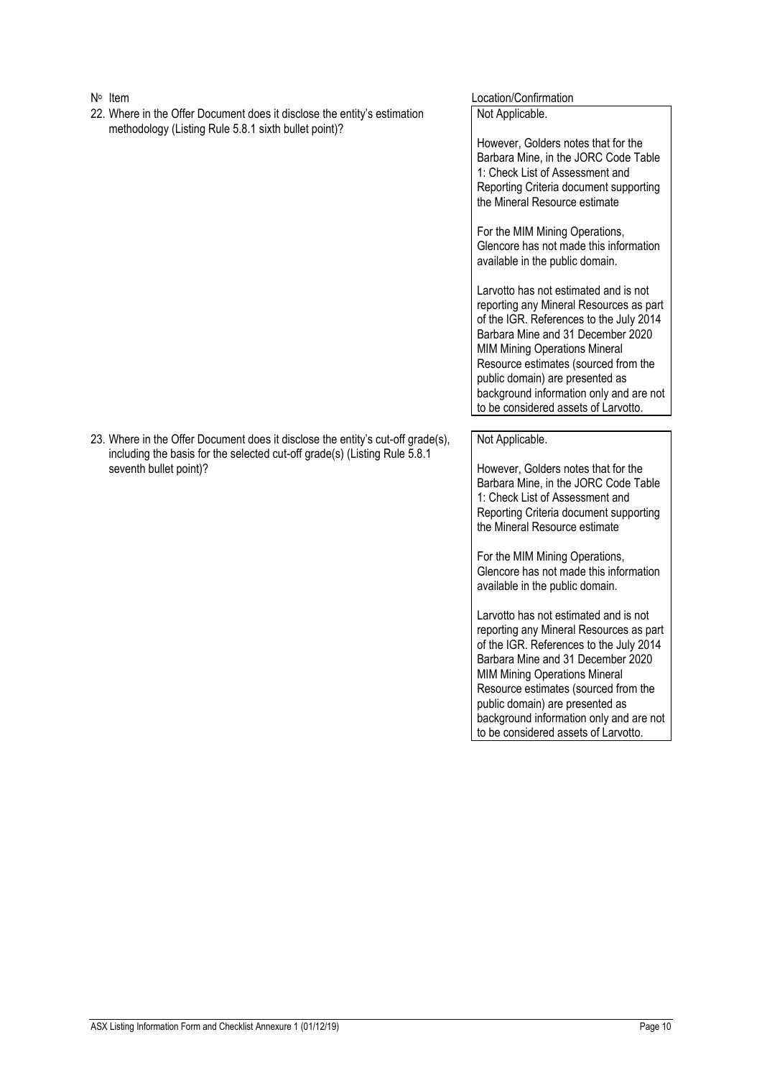- N<sup>o</sup> Item
- 22. Where in the Offer Document does it disclose the entity's estimation methodology (Listing Rule 5.8.1 sixth bullet point)?

#### Location/Confirmation

Not Applicable.

However, Golders notes that for the Barbara Mine, in the JORC Code Table 1: Check List of Assessment and Reporting Criteria document supporting the Mineral Resource estimate

For the MIM Mining Operations, Glencore has not made this information available in the public domain.

Larvotto has not estimated and is not reporting any Mineral Resources as part of the IGR. References to the July 2014 Barbara Mine and 31 December 2020 MIM Mining Operations Mineral Resource estimates (sourced from the public domain) are presented as background information only and are not to be considered assets of Larvotto.

Not Applicable.

However, Golders notes that for the Barbara Mine, in the JORC Code Table 1: Check List of Assessment and Reporting Criteria document supporting the Mineral Resource estimate

For the MIM Mining Operations, Glencore has not made this information available in the public domain.

Larvotto has not estimated and is not reporting any Mineral Resources as part of the IGR. References to the July 2014 Barbara Mine and 31 December 2020 MIM Mining Operations Mineral Resource estimates (sourced from the public domain) are presented as background information only and are not to be considered assets of Larvotto.

23. Where in the Offer Document does it disclose the entity's cut-off grade(s), including the basis for the selected cut-off grade(s) (Listing Rule 5.8.1 seventh bullet point)?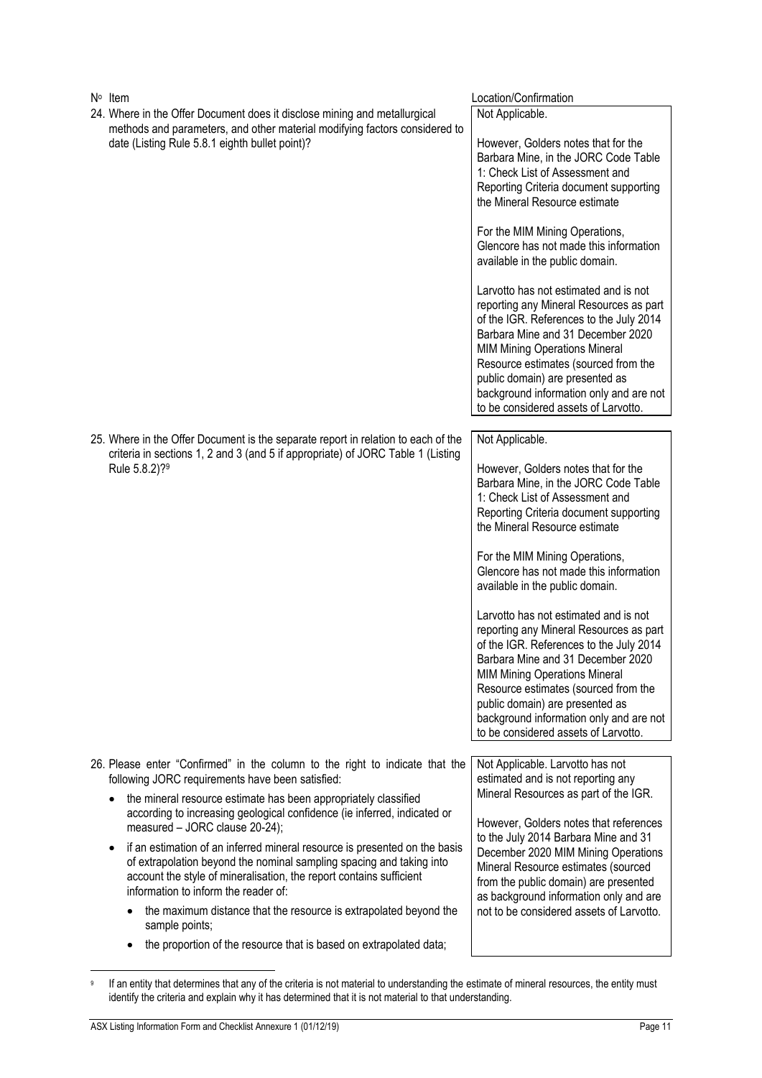| $N^{\circ}$ Item                                                                                                                                                                                          | Location/Confirmation                                                                                                                                                                                                                                                                                                                                                                                                                                                                                                                                                           |
|-----------------------------------------------------------------------------------------------------------------------------------------------------------------------------------------------------------|---------------------------------------------------------------------------------------------------------------------------------------------------------------------------------------------------------------------------------------------------------------------------------------------------------------------------------------------------------------------------------------------------------------------------------------------------------------------------------------------------------------------------------------------------------------------------------|
| 24. Where in the Offer Document does it disclose mining and metallurgical<br>methods and parameters, and other material modifying factors considered to<br>date (Listing Rule 5.8.1 eighth bullet point)? | Not Applicable.<br>However, Golders notes that for the<br>Barbara Mine, in the JORC Code Table<br>1: Check List of Assessment and<br>Reporting Criteria document supporting<br>the Mineral Resource estimate<br>For the MIM Mining Operations,<br>Glencore has not made this information<br>available in the public domain.<br>Larvotto has not estimated and is not<br>reporting any Mineral Resources as part<br>of the IGR. References to the July 2014<br>Barbara Mine and 31 December 2020<br><b>MIM Mining Operations Mineral</b><br>Resource estimates (sourced from the |
|                                                                                                                                                                                                           | public domain) are presented as                                                                                                                                                                                                                                                                                                                                                                                                                                                                                                                                                 |
|                                                                                                                                                                                                           | background information only and are not<br>to be considered assets of Larvotto.                                                                                                                                                                                                                                                                                                                                                                                                                                                                                                 |
|                                                                                                                                                                                                           |                                                                                                                                                                                                                                                                                                                                                                                                                                                                                                                                                                                 |
| 25. Where in the Offer Document is the separate report in relation to each of the<br>criteria in sections 1, 2 and 3 (and 5 if appropriate) of JORC Table 1 (Listing                                      | Not Applicable.                                                                                                                                                                                                                                                                                                                                                                                                                                                                                                                                                                 |
| Rule 5.8.2)? <sup>9</sup>                                                                                                                                                                                 | However, Golders notes that for the                                                                                                                                                                                                                                                                                                                                                                                                                                                                                                                                             |
|                                                                                                                                                                                                           | Barbara Mine, in the JORC Code Table                                                                                                                                                                                                                                                                                                                                                                                                                                                                                                                                            |
|                                                                                                                                                                                                           | 1: Check List of Assessment and<br>Reporting Criteria document supporting                                                                                                                                                                                                                                                                                                                                                                                                                                                                                                       |
|                                                                                                                                                                                                           | the Mineral Resource estimate                                                                                                                                                                                                                                                                                                                                                                                                                                                                                                                                                   |
|                                                                                                                                                                                                           | For the MIM Mining Operations,                                                                                                                                                                                                                                                                                                                                                                                                                                                                                                                                                  |
|                                                                                                                                                                                                           | Glencore has not made this information<br>available in the public domain.                                                                                                                                                                                                                                                                                                                                                                                                                                                                                                       |
|                                                                                                                                                                                                           | Larvotto has not estimated and is not                                                                                                                                                                                                                                                                                                                                                                                                                                                                                                                                           |
|                                                                                                                                                                                                           | reporting any Mineral Resources as part                                                                                                                                                                                                                                                                                                                                                                                                                                                                                                                                         |
|                                                                                                                                                                                                           | of the IGR. References to the July 2014<br>Barbara Mine and 31 December 2020                                                                                                                                                                                                                                                                                                                                                                                                                                                                                                    |
|                                                                                                                                                                                                           | <b>MIM Mining Operations Mineral</b>                                                                                                                                                                                                                                                                                                                                                                                                                                                                                                                                            |
|                                                                                                                                                                                                           | Resource estimates (sourced from the<br>public domain) are presented as                                                                                                                                                                                                                                                                                                                                                                                                                                                                                                         |
|                                                                                                                                                                                                           | background information only and are not                                                                                                                                                                                                                                                                                                                                                                                                                                                                                                                                         |
|                                                                                                                                                                                                           | to be considered assets of Larvotto.                                                                                                                                                                                                                                                                                                                                                                                                                                                                                                                                            |
| 26. Please enter "Confirmed" in the column to the right to indicate that the                                                                                                                              | Not Applicable. Larvotto has not                                                                                                                                                                                                                                                                                                                                                                                                                                                                                                                                                |
| following JORC requirements have been satisfied:                                                                                                                                                          | estimated and is not reporting any                                                                                                                                                                                                                                                                                                                                                                                                                                                                                                                                              |
| the mineral resource estimate has been appropriately classified<br>according to increasing geological confidence (ie inferred, indicated or                                                               | Mineral Resources as part of the IGR.                                                                                                                                                                                                                                                                                                                                                                                                                                                                                                                                           |
| measured - JORC clause 20-24);                                                                                                                                                                            | However, Golders notes that references                                                                                                                                                                                                                                                                                                                                                                                                                                                                                                                                          |
| if an estimation of an inferred mineral resource is presented on the basis<br>$\bullet$                                                                                                                   | to the July 2014 Barbara Mine and 31<br>December 2020 MIM Mining Operations                                                                                                                                                                                                                                                                                                                                                                                                                                                                                                     |
| of extrapolation beyond the nominal sampling spacing and taking into<br>account the style of mineralisation, the report contains sufficient<br>information to inform the reader of:                       | Mineral Resource estimates (sourced<br>from the public domain) are presented<br>as background information only and are                                                                                                                                                                                                                                                                                                                                                                                                                                                          |
| the maximum distance that the resource is extrapolated beyond the<br>sample points;                                                                                                                       | not to be considered assets of Larvotto.                                                                                                                                                                                                                                                                                                                                                                                                                                                                                                                                        |
| the proportion of the resource that is based on extrapolated data;                                                                                                                                        |                                                                                                                                                                                                                                                                                                                                                                                                                                                                                                                                                                                 |

<sup>9</sup> If an entity that determines that any of the criteria is not material to understanding the estimate of mineral resources, the entity must identify the criteria and explain why it has determined that it is not material to that understanding.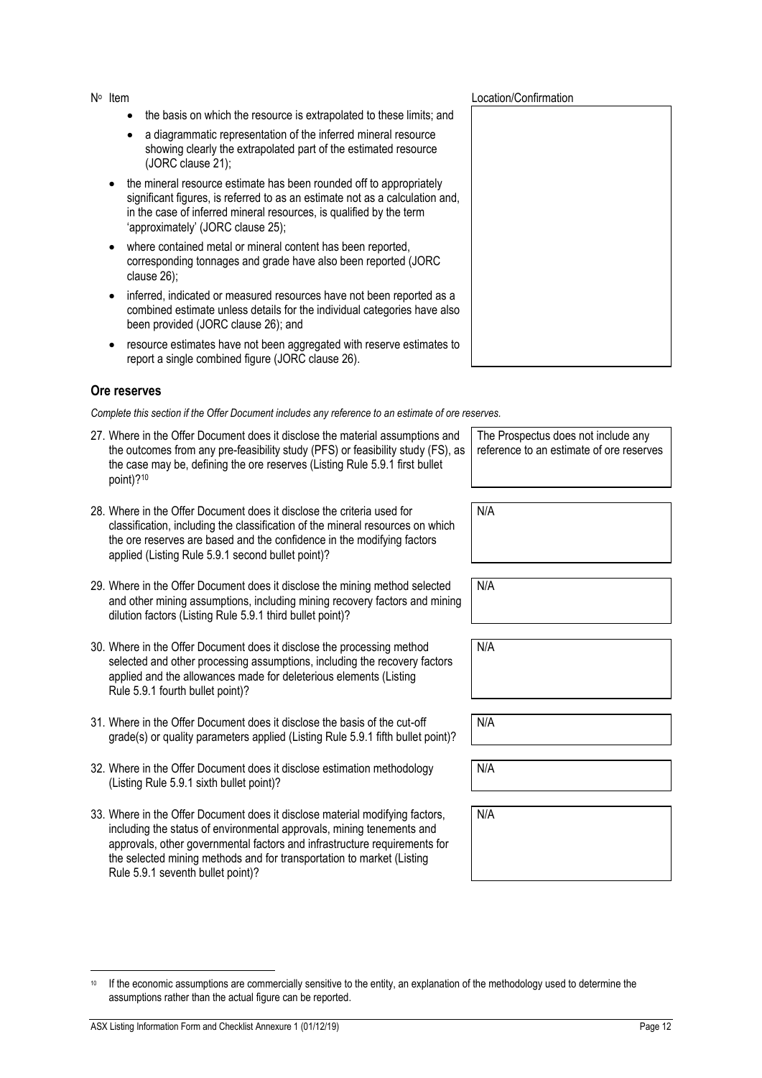- the basis on which the resource is extrapolated to these limits; and
- a diagrammatic representation of the inferred mineral resource showing clearly the extrapolated part of the estimated resource (JORC clause 21);
- the mineral resource estimate has been rounded off to appropriately significant figures, is referred to as an estimate not as a calculation and, in the case of inferred mineral resources, is qualified by the term 'approximately' (JORC clause 25);
- where contained metal or mineral content has been reported, corresponding tonnages and grade have also been reported (JORC clause 26);
- inferred, indicated or measured resources have not been reported as a combined estimate unless details for the individual categories have also been provided (JORC clause 26); and
- resource estimates have not been aggregated with reserve estimates to report a single combined figure (JORC clause 26).

#### **Ore reserves**

*Complete this section if the Offer Document includes any reference to an estimate of ore reserves.*

- 27. Where in the Offer Document does it disclose the material assumptions and the outcomes from any pre-feasibility study (PFS) or feasibility study (FS), as the case may be, defining the ore reserves (Listing Rule 5.9.1 first bullet point)?<sup>10</sup>
- 28. Where in the Offer Document does it disclose the criteria used for classification, including the classification of the mineral resources on which the ore reserves are based and the confidence in the modifying factors applied (Listing Rule 5.9.1 second bullet point)?
- 29. Where in the Offer Document does it disclose the mining method selected and other mining assumptions, including mining recovery factors and mining dilution factors (Listing Rule 5.9.1 third bullet point)?
- 30. Where in the Offer Document does it disclose the processing method selected and other processing assumptions, including the recovery factors applied and the allowances made for deleterious elements (Listing Rule 5.9.1 fourth bullet point)?
- 31. Where in the Offer Document does it disclose the basis of the cut-off grade(s) or quality parameters applied (Listing Rule 5.9.1 fifth bullet point)?
- 32. Where in the Offer Document does it disclose estimation methodology (Listing Rule 5.9.1 sixth bullet point)?
- 33. Where in the Offer Document does it disclose material modifying factors, including the status of environmental approvals, mining tenements and approvals, other governmental factors and infrastructure requirements for the selected mining methods and for transportation to market (Listing Rule 5.9.1 seventh bullet point)?

The Prospectus does not include any reference to an estimate of ore reserves

N/A

N/A

N/A

N/A

N/A

| <sup>10</sup> If the economic assumptions are commercially sensitive to the entity, an explanation of the methodology used to determine the |
|---------------------------------------------------------------------------------------------------------------------------------------------|
| assumptions rather than the actual figure can be reported.                                                                                  |

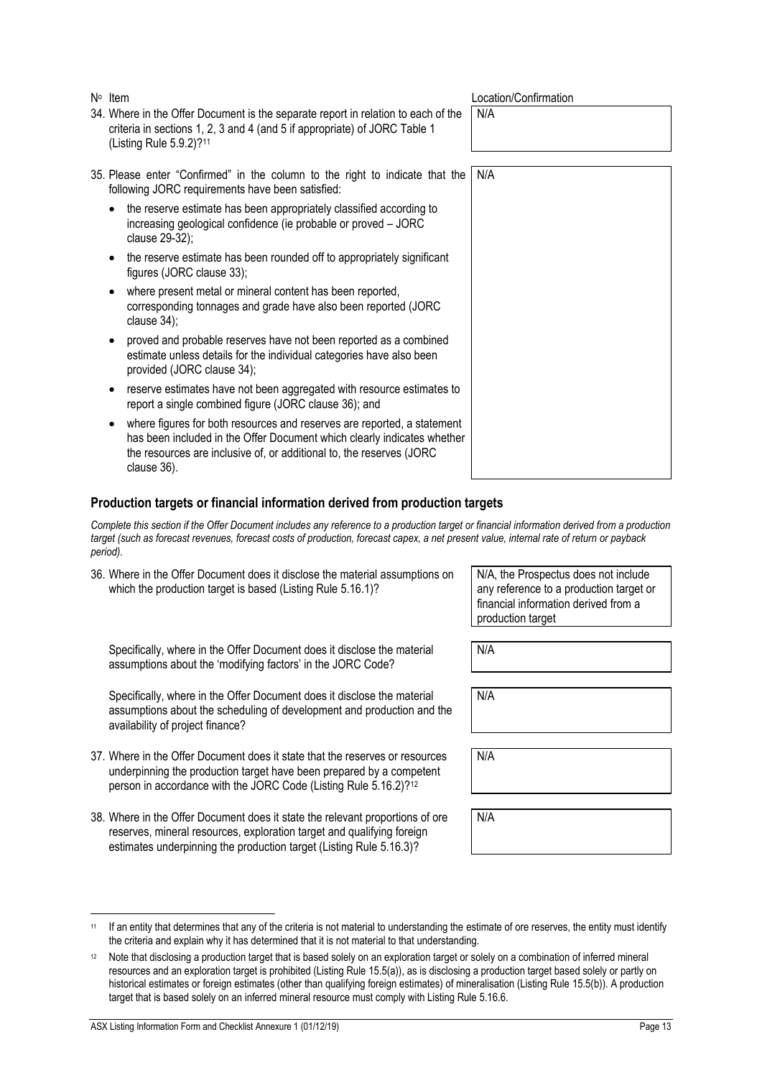|           | 34. Where in the Offer Document is the separate report in relation to each of the<br>criteria in sections 1, 2, 3 and 4 (and 5 if appropriate) of JORC Table 1<br>(Listing Rule 5.9.2)? <sup>11</sup>                                     | N/A |
|-----------|-------------------------------------------------------------------------------------------------------------------------------------------------------------------------------------------------------------------------------------------|-----|
|           | 35. Please enter "Confirmed" in the column to the right to indicate that the<br>following JORC requirements have been satisfied:                                                                                                          | N/A |
|           | the reserve estimate has been appropriately classified according to<br>increasing geological confidence (ie probable or proved - JORC<br>clause 29-32);                                                                                   |     |
|           | the reserve estimate has been rounded off to appropriately significant<br>figures (JORC clause 33);                                                                                                                                       |     |
| $\bullet$ | where present metal or mineral content has been reported,<br>corresponding tonnages and grade have also been reported (JORC<br>clause $34$ );                                                                                             |     |
| ٠         | proved and probable reserves have not been reported as a combined<br>estimate unless details for the individual categories have also been<br>provided (JORC clause 34);                                                                   |     |
| $\bullet$ | reserve estimates have not been aggregated with resource estimates to<br>report a single combined figure (JORC clause 36); and                                                                                                            |     |
| ٠         | where figures for both resources and reserves are reported, a statement<br>has been included in the Offer Document which clearly indicates whether<br>the resources are inclusive of, or additional to, the reserves (JORC<br>clause 36). |     |

#### **Production targets or financial information derived from production targets**

*Complete this section if the Offer Document includes any reference to a production target or financial information derived from a production target (such as forecast revenues, forecast costs of production, forecast capex, a net present value, internal rate of return or payback period).*

| 36. Where in the Offer Document does it disclose the material assumptions on |
|------------------------------------------------------------------------------|
| which the production target is based (Listing Rule 5.16.1)?                  |

N<sup>o</sup> Item

Specifically, where in the Offer Document does it disclose the material assumptions about the 'modifying factors' in the JORC Code?

Specifically, where in the Offer Document does it disclose the material assumptions about the scheduling of development and production and the availability of project finance?

- 37. Where in the Offer Document does it state that the reserves or resources underpinning the production target have been prepared by a competent person in accordance with the JORC Code (Listing Rule 5.16.2)?<sup>12</sup>
- 38. Where in the Offer Document does it state the relevant proportions of ore reserves, mineral resources, exploration target and qualifying foreign estimates underpinning the production target (Listing Rule 5.16.3)?

N/A, the Prospectus does not include any reference to a production target or financial information derived from a production target

**Location/Confirmation** 

N/A

N/A

N/A

<sup>11</sup> If an entity that determines that any of the criteria is not material to understanding the estimate of ore reserves, the entity must identify the criteria and explain why it has determined that it is not material to that understanding.

<sup>12</sup> Note that disclosing a production target that is based solely on an exploration target or solely on a combination of inferred mineral resources and an exploration target is prohibited (Listing Rule 15.5(a)), as is disclosing a production target based solely or partly on historical estimates or foreign estimates (other than qualifying foreign estimates) of mineralisation (Listing Rule 15.5(b)). A production target that is based solely on an inferred mineral resource must comply with Listing Rule 5.16.6.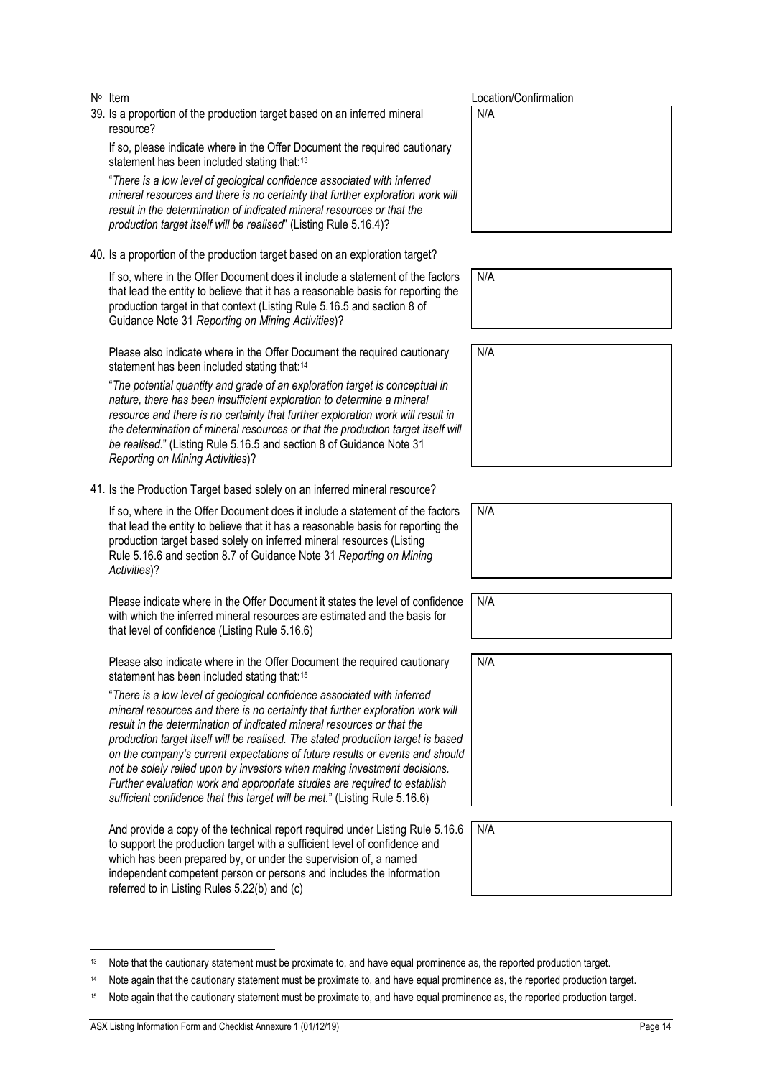- N<sup>o</sup> Item
- 39. Is a proportion of the production target based on an inferred mineral resource?

If so, please indicate where in the Offer Document the required cautionary statement has been included stating that:<sup>13</sup>

"*There is a low level of geological confidence associated with inferred mineral resources and there is no certainty that further exploration work will result in the determination of indicated mineral resources or that the production target itself will be realised*" (Listing Rule 5.16.4)?

40. Is a proportion of the production target based on an exploration target?

If so, where in the Offer Document does it include a statement of the factors that lead the entity to believe that it has a reasonable basis for reporting the production target in that context (Listing Rule 5.16.5 and section 8 of Guidance Note 31 *Reporting on Mining Activities*)?

Please also indicate where in the Offer Document the required cautionary statement has been included stating that:<sup>14</sup>

"*The potential quantity and grade of an exploration target is conceptual in nature, there has been insufficient exploration to determine a mineral resource and there is no certainty that further exploration work will result in the determination of mineral resources or that the production target itself will be realised.*" (Listing Rule 5.16.5 and section 8 of Guidance Note 31 *Reporting on Mining Activities*)?

41. Is the Production Target based solely on an inferred mineral resource?

If so, where in the Offer Document does it include a statement of the factors that lead the entity to believe that it has a reasonable basis for reporting the production target based solely on inferred mineral resources (Listing Rule 5.16.6 and section 8.7 of Guidance Note 31 *Reporting on Mining Activities*)?

Please indicate where in the Offer Document it states the level of confidence with which the inferred mineral resources are estimated and the basis for that level of confidence (Listing Rule 5.16.6)

Please also indicate where in the Offer Document the required cautionary statement has been included stating that:<sup>15</sup>

"*There is a low level of geological confidence associated with inferred mineral resources and there is no certainty that further exploration work will result in the determination of indicated mineral resources or that the production target itself will be realised. The stated production target is based on the company's current expectations of future results or events and should not be solely relied upon by investors when making investment decisions. Further evaluation work and appropriate studies are required to establish sufficient confidence that this target will be met.*" (Listing Rule 5.16.6)

And provide a copy of the technical report required under Listing Rule 5.16. to support the production target with a sufficient level of confidence and which has been prepared by, or under the supervision of, a named independent competent person or persons and includes the information referred to in Listing Rules 5.22(b) and (c)

Location/Confirmation

N/A

N/A

| N/A |
|-----|
|     |
|     |
|     |
|     |

| N/A |  |  |  |
|-----|--|--|--|
|     |  |  |  |

| N/A |
|-----|
|     |
|     |
|     |
|     |
|     |

| $.6$ N/A |
|----------|
|          |
|          |
|          |

Note that the cautionary statement must be proximate to, and have equal prominence as, the reported production target.

<sup>14</sup> Note again that the cautionary statement must be proximate to, and have equal prominence as, the reported production target.

<sup>15</sup> Note again that the cautionary statement must be proximate to, and have equal prominence as, the reported production target.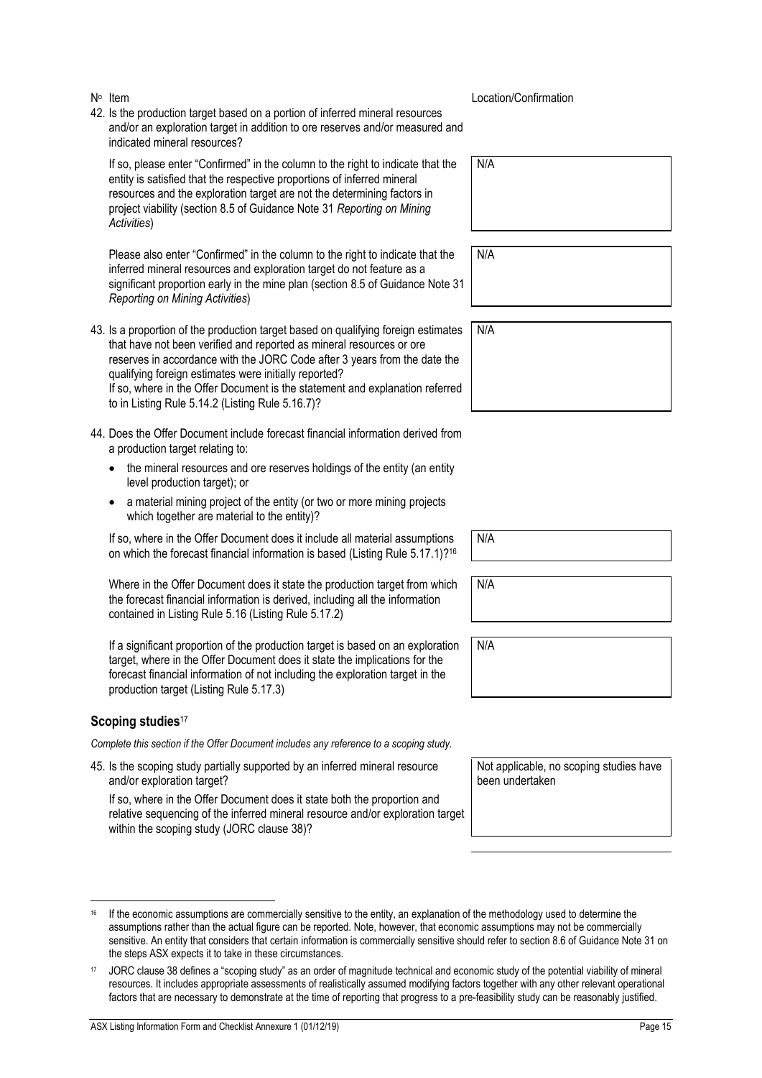- N<sup>o</sup> Item
- 42. Is the production target based on a portion of inferred mineral resources and/or an exploration target in addition to ore reserves and/or measured and indicated mineral resources?

If so, please enter "Confirmed" in the column to the right to indicate that the entity is satisfied that the respective proportions of inferred mineral resources and the exploration target are not the determining factors in project viability (section 8.5 of Guidance Note 31 *Reporting on Mining Activities*)

Please also enter "Confirmed" in the column to the right to indicate that the inferred mineral resources and exploration target do not feature as a significant proportion early in the mine plan (section 8.5 of Guidance Note 31 *Reporting on Mining Activities*)

- 43. Is a proportion of the production target based on qualifying foreign estimates that have not been verified and reported as mineral resources or ore reserves in accordance with the JORC Code after 3 years from the date the qualifying foreign estimates were initially reported? If so, where in the Offer Document is the statement and explanation referred to in Listing Rule 5.14.2 (Listing Rule 5.16.7)?
- 44. Does the Offer Document include forecast financial information derived from a production target relating to:
	- the mineral resources and ore reserves holdings of the entity (an entity level production target); or
	- a material mining project of the entity (or two or more mining projects which together are material to the entity)?

If so, where in the Offer Document does it include all material assumptions on which the forecast financial information is based (Listing Rule 5.17.1)?<sup>16</sup>

Where in the Offer Document does it state the production target from which the forecast financial information is derived, including all the information contained in Listing Rule 5.16 (Listing Rule 5.17.2)

If a significant proportion of the production target is based on an exploration target, where in the Offer Document does it state the implications for the forecast financial information of not including the exploration target in the production target (Listing Rule 5.17.3)

#### **Scoping studies**<sup>17</sup>

*Complete this section if the Offer Document includes any reference to a scoping study.*

45. Is the scoping study partially supported by an inferred mineral resource and/or exploration target?

If so, where in the Offer Document does it state both the proportion and relative sequencing of the inferred mineral resource and/or exploration target within the scoping study (JORC clause 38)?

Location/Confirmation

N/A

N/A

| N/A |  |  |  |
|-----|--|--|--|
|     |  |  |  |
|     |  |  |  |
|     |  |  |  |
|     |  |  |  |

N/A

N/A

N/A

been undertaken

Not applicable, no scoping studies have

If the economic assumptions are commercially sensitive to the entity, an explanation of the methodology used to determine the assumptions rather than the actual figure can be reported. Note, however, that economic assumptions may not be commercially sensitive. An entity that considers that certain information is commercially sensitive should refer to section 8.6 of Guidance Note 31 on the steps ASX expects it to take in these circumstances.

<sup>17</sup> JORC clause 38 defines a "scoping study" as an order of magnitude technical and economic study of the potential viability of mineral resources. It includes appropriate assessments of realistically assumed modifying factors together with any other relevant operational factors that are necessary to demonstrate at the time of reporting that progress to a pre-feasibility study can be reasonably justified.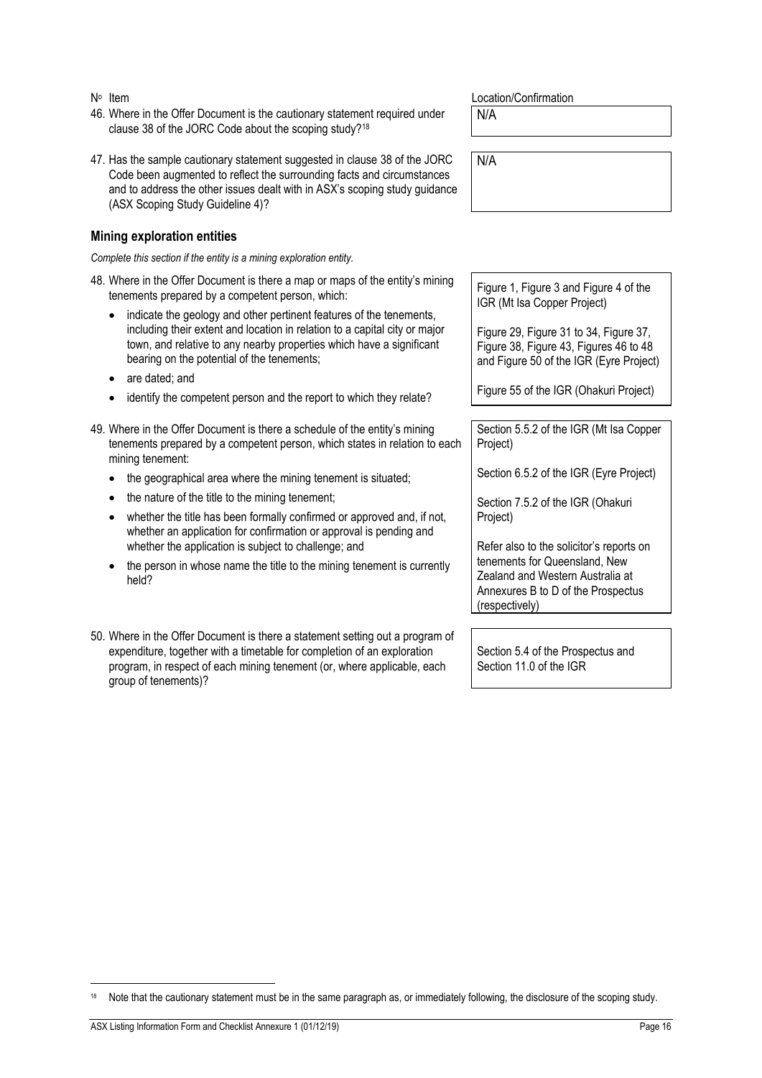- 46. Where in the Offer Document is the cautionary statement required under clause 38 of the JORC Code about the scoping study?<sup>18</sup>
- 47. Has the sample cautionary statement suggested in clause 38 of the JORC Code been augmented to reflect the surrounding facts and circumstances and to address the other issues dealt with in ASX's scoping study guidance (ASX Scoping Study Guideline 4)?

#### **Mining exploration entities**

*Complete this section if the entity is a mining exploration entity.*

- 48. Where in the Offer Document is there a map or maps of the entity's mining tenements prepared by a competent person, which:
	- indicate the geology and other pertinent features of the tenements, including their extent and location in relation to a capital city or major town, and relative to any nearby properties which have a significant bearing on the potential of the tenements;
	- are dated; and
	- identify the competent person and the report to which they relate?
- 49. Where in the Offer Document is there a schedule of the entity's mining tenements prepared by a competent person, which states in relation to each mining tenement:
	- the geographical area where the mining tenement is situated;
	- the nature of the title to the mining tenement;
	- whether the title has been formally confirmed or approved and, if not, whether an application for confirmation or approval is pending and whether the application is subject to challenge; and
	- the person in whose name the title to the mining tenement is currently held?
- 50. Where in the Offer Document is there a statement setting out a program of expenditure, together with a timetable for completion of an exploration program, in respect of each mining tenement (or, where applicable, each group of tenements)?

Location/Confirmation

N/A

N/A

Figure 1, Figure 3 and Figure 4 of the IGR (Mt Isa Copper Project)

Figure 29, Figure 31 to 34, Figure 37, Figure 38, Figure 43, Figures 46 to 48 and Figure 50 of the IGR (Eyre Project)

Figure 55 of the IGR (Ohakuri Project)

Section 5.5.2 of the IGR (Mt Isa Copper Project)

Section 6.5.2 of the IGR (Eyre Project)

Section 7.5.2 of the IGR (Ohakuri Project)

Refer also to the solicitor's reports on tenements for Queensland, New Zealand and Western Australia at Annexures B to D of the Prospectus (respectively)

Section 5.4 of the Prospectus and Section 11.0 of the IGR

<sup>&</sup>lt;sup>18</sup> Note that the cautionary statement must be in the same paragraph as, or immediately following, the disclosure of the scoping study.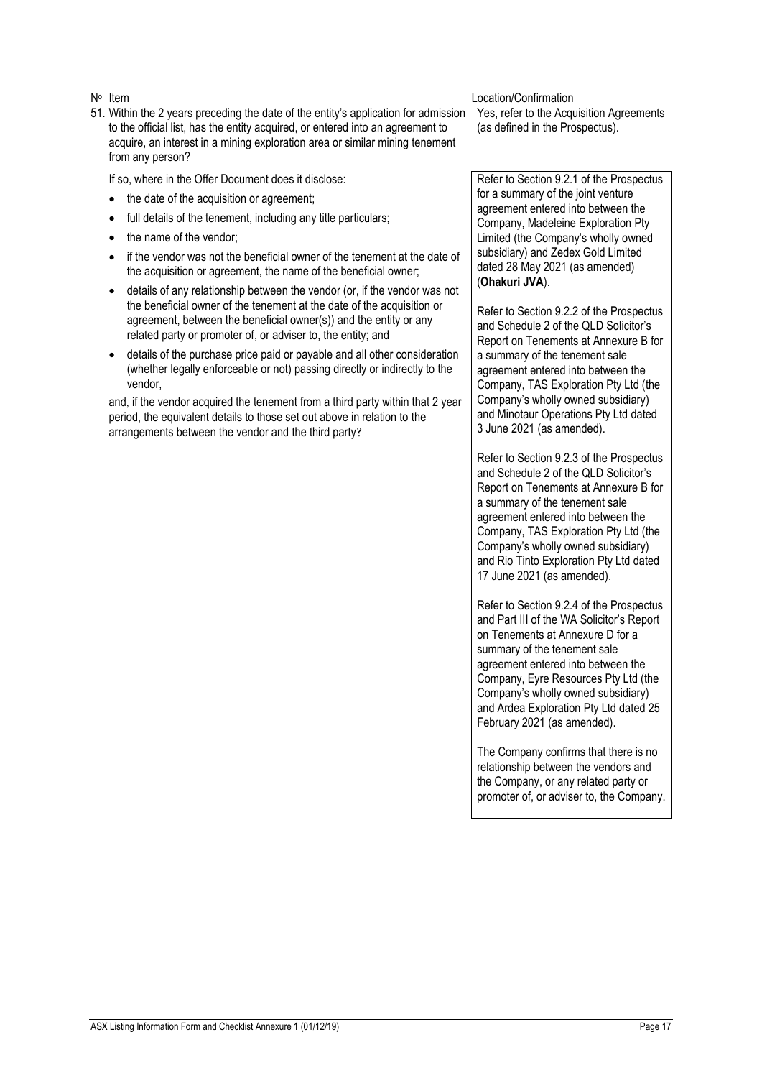- N<sup>o</sup> Item
- 51. Within the 2 years preceding the date of the entity's application for admission to the official list, has the entity acquired, or entered into an agreement to acquire, an interest in a mining exploration area or similar mining tenement from any person?

If so, where in the Offer Document does it disclose:

- the date of the acquisition or agreement:
- full details of the tenement, including any title particulars;
- the name of the vendor:
- if the vendor was not the beneficial owner of the tenement at the date of the acquisition or agreement, the name of the beneficial owner;
- details of any relationship between the vendor (or, if the vendor was not the beneficial owner of the tenement at the date of the acquisition or agreement, between the beneficial owner(s)) and the entity or any related party or promoter of, or adviser to, the entity; and
- details of the purchase price paid or payable and all other consideration (whether legally enforceable or not) passing directly or indirectly to the vendor,

and, if the vendor acquired the tenement from a third party within that 2 year period, the equivalent details to those set out above in relation to the arrangements between the vendor and the third party?

Location/Confirmation

Yes, refer to the Acquisition Agreements (as defined in the Prospectus).

Refer to Section 9.2.1 of the Prospectus for a summary of the joint venture agreement entered into between the Company, Madeleine Exploration Pty Limited (the Company's wholly owned subsidiary) and Zedex Gold Limited dated 28 May 2021 (as amended) (**Ohakuri JVA**).

Refer to Section 9.2.2 of the Prospectus and Schedule 2 of the QLD Solicitor's Report on Tenements at Annexure B for a summary of the tenement sale agreement entered into between the Company, TAS Exploration Pty Ltd (the Company's wholly owned subsidiary) and Minotaur Operations Pty Ltd dated 3 June 2021 (as amended).

Refer to Section 9.2.3 of the Prospectus and Schedule 2 of the QLD Solicitor's Report on Tenements at Annexure B for a summary of the tenement sale agreement entered into between the Company, TAS Exploration Pty Ltd (the Company's wholly owned subsidiary) and Rio Tinto Exploration Pty Ltd dated 17 June 2021 (as amended).

Refer to Section 9.2.4 of the Prospectus and Part III of the WA Solicitor's Report on Tenements at Annexure D for a summary of the tenement sale agreement entered into between the Company, Eyre Resources Pty Ltd (the Company's wholly owned subsidiary) and Ardea Exploration Pty Ltd dated 25 February 2021 (as amended).

The Company confirms that there is no relationship between the vendors and the Company, or any related party or promoter of, or adviser to, the Company.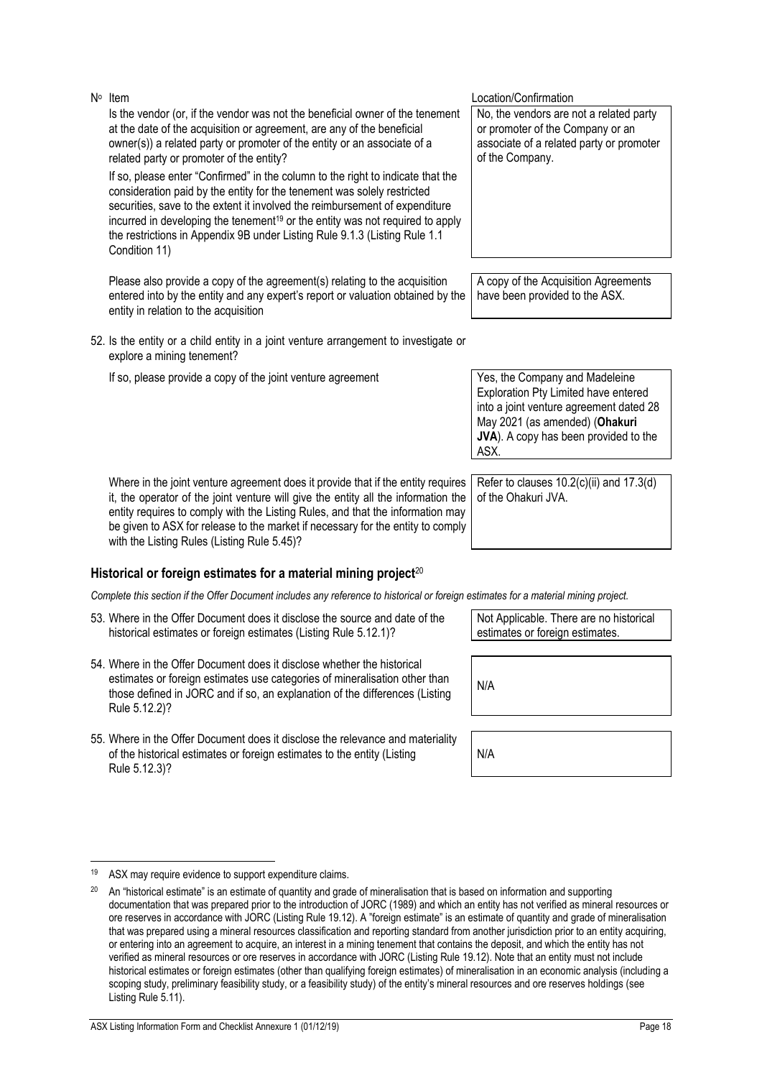Is the vendor (or, if the vendor was not the beneficial owner of the tenement at the date of the acquisition or agreement, are any of the beneficial owner(s)) a related party or promoter of the entity or an associate of a related party or promoter of the entity?

If so, please enter "Confirmed" in the column to the right to indicate that the consideration paid by the entity for the tenement was solely restricted securities, save to the extent it involved the reimbursement of expenditure incurred in developing the tenement<sup>19</sup> or the entity was not required to apply the restrictions in Appendix 9B under Listing Rule 9.1.3 (Listing Rule 1.1 Condition 11)

Please also provide a copy of the agreement(s) relating to the acquisition entered into by the entity and any expert's report or valuation obtained by the entity in relation to the acquisition

- 52. Is the entity or a child entity in a joint venture arrangement to investigate or explore a mining tenement?
	- If so, please provide a copy of the joint venture agreement Yes, the Company and Madeleine

Where in the joint venture agreement does it provide that if the entity requires it, the operator of the joint venture will give the entity all the information the entity requires to comply with the Listing Rules, and that the information may be given to ASX for release to the market if necessary for the entity to comply with the Listing Rules (Listing Rule 5.45)?

## **Historical or foreign estimates for a material mining project**<sup>20</sup>

*Complete this section if the Offer Document includes any reference to historical or foreign estimates for a material mining project.*

- 53. Where in the Offer Document does it disclose the source and date of the historical estimates or foreign estimates (Listing Rule 5.12.1)?
- 54. Where in the Offer Document does it disclose whether the historical estimates or foreign estimates use categories of mineralisation other than those defined in JORC and if so, an explanation of the differences (Listing Rule 5.12.2)?
- 55. Where in the Offer Document does it disclose the relevance and materiality of the historical estimates or foreign estimates to the entity (Listing Rule 5.12.3)?

No, the vendors are not a related party or promoter of the Company or an associate of a related party or promoter of the Company.

A copy of the Acquisition Agreements have been provided to the ASX.

Exploration Pty Limited have entered into a joint venture agreement dated 28 May 2021 (as amended) (**Ohakuri JVA**). A copy has been provided to the ASX.

Refer to clauses 10.2(c)(ii) and 17.3(d) of the Ohakuri JVA.

Not Applicable. There are no historical estimates or foreign estimates.

N/A

Location/Confirmation

<sup>19</sup> ASX may require evidence to support expenditure claims.

<sup>&</sup>lt;sup>20</sup> An "historical estimate" is an estimate of quantity and grade of mineralisation that is based on information and supporting documentation that was prepared prior to the introduction of JORC (1989) and which an entity has not verified as mineral resources or ore reserves in accordance with JORC (Listing Rule 19.12). A "foreign estimate" is an estimate of quantity and grade of mineralisation that was prepared using a mineral resources classification and reporting standard from another jurisdiction prior to an entity acquiring, or entering into an agreement to acquire, an interest in a mining tenement that contains the deposit, and which the entity has not verified as mineral resources or ore reserves in accordance with JORC (Listing Rule 19.12). Note that an entity must not include historical estimates or foreign estimates (other than qualifying foreign estimates) of mineralisation in an economic analysis (including a scoping study, preliminary feasibility study, or a feasibility study) of the entity's mineral resources and ore reserves holdings (see Listing Rule 5.11).